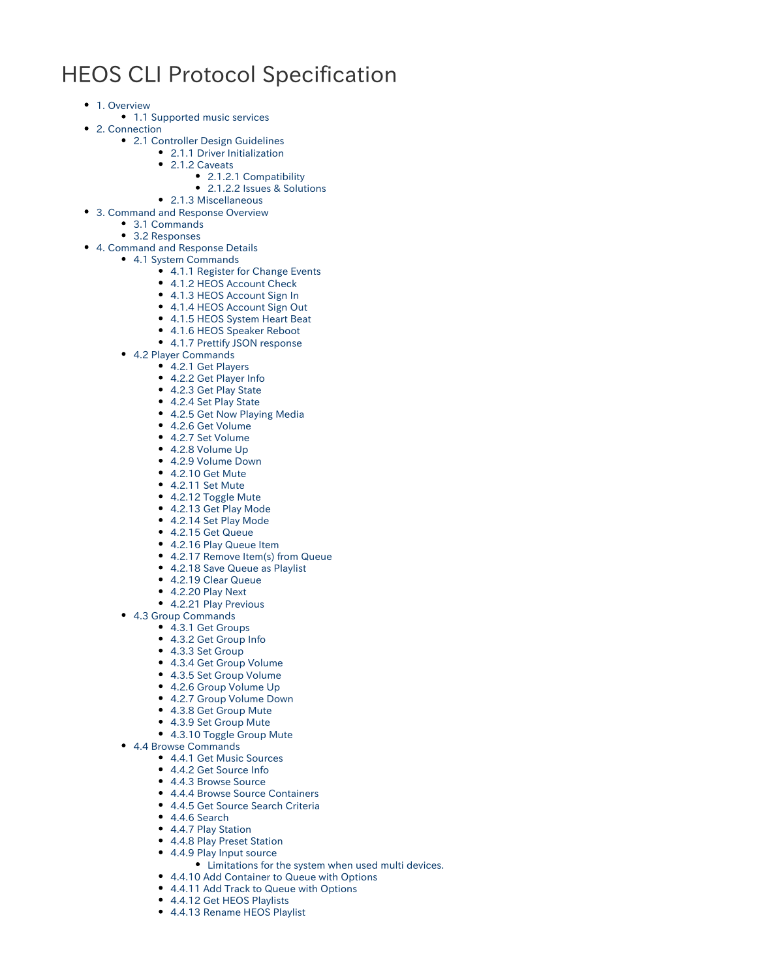# HEOS CLI Protocol Specification

- [1. Overview](#page-1-0)
	- [1.1 Supported music services](#page-2-0)
- [2. Connection](#page-2-1)
	- [2.1 Controller Design Guidelines](#page-2-2)
		- [2.1.1 Driver Initialization](#page-2-3)
			- [2.1.2 Caveats](#page-2-4)
				- [2.1.2.1 Compatibility](#page-2-5)
					- [2.1.2.2 Issues & Solutions](#page-2-6)
	- [2.1.3 Miscellaneous](#page-3-0)
- [3. Command and Response Overview](#page-4-0)
	- [3.1 Commands](#page-4-1)
	- [3.2 Responses](#page-4-2)
- [4. Command and Response Details](#page-5-0)
	- [4.1 System Commands](#page-5-1)
		- [4.1.1 Register for Change Events](#page-5-2)
		- [4.1.2 HEOS Account Check](#page-5-3)
		- [4.1.3 HEOS Account Sign In](#page-5-4)
		- [4.1.4 HEOS Account Sign Out](#page-6-0)
		- [4.1.5 HEOS System Heart Beat](#page-6-1)
		- [4.1.6 HEOS Speaker Reboot](#page-6-2)
		- [4.1.7 Prettify JSON response](#page-6-3)
	- [4.2 Player Commands](#page-6-4)
		- [4.2.1 Get Players](#page-7-0)
		- [4.2.2 Get Player Info](#page-8-0)
		- [4.2.3 Get Play State](#page-8-1)
		- [4.2.4 Set Play State](#page-9-0)
		- [4.2.5 Get Now Playing Media](#page-9-1)
		- [4.2.6 Get Volume](#page-10-0)
		- [4.2.7 Set Volume](#page-10-1)
		- [4.2.8 Volume Up](#page-11-0)
		- [4.2.9 Volume Down](#page-11-1) [4.2.10 Get Mute](#page-11-2)
		- [4.2.11 Set Mute](#page-12-0)
		- [4.2.12 Toggle Mute](#page-12-1)
		- [4.2.13 Get Play Mode](#page-12-2)
		- [4.2.14 Set Play Mode](#page-13-0)
		- [4.2.15 Get Queue](#page-13-1)
		- [4.2.16 Play Queue Item](#page-14-0)
		- [4.2.17 Remove Item\(s\) from Queue](#page-14-1)
		- [4.2.18 Save Queue as Playlist](#page-14-2)
		- [4.2.19 Clear Queue](#page-15-0)
		- [4.2.20 Play Next](#page-15-1)
		- [4.2.21 Play Previous](#page-15-2)
	- [4.3 Group Commands](#page-16-0)
		- [4.3.1 Get Groups](#page-16-1)
			- [4.3.2 Get Group Info](#page-17-0)
			- [4.3.3 Set Group](#page-18-0)
			- [4.3.4 Get Group Volume](#page-18-1)
			- [4.3.5 Set Group Volume](#page-19-0)
			- [4.2.6 Group Volume Up](#page-19-1)
			- [4.2.7 Group Volume Down](#page-19-2)
			- [4.3.8 Get Group Mute](#page-20-0)
			- [4.3.9 Set Group Mute](#page-20-1)
			- [4.3.10 Toggle Group Mute](#page-20-2)
	- [4.4 Browse Commands](#page-21-0)
		- [4.4.1 Get Music Sources](#page-21-1)
		- [4.4.2 Get Source Info](#page-21-2)
		- [4.4.3 Browse Source](#page-22-0)
		- [4.4.4 Browse Source Containers](#page-24-0)
		- [4.4.5 Get Source Search Criteria](#page-26-0)
		- [4.4.6 Search](#page-27-0)
		- [4.4.7 Play Station](#page-28-0)
		- [4.4.8 Play Preset Station](#page-29-0)
		- [4.4.9 Play Input source](#page-29-1)
			- [Limitations for the system when used multi devices.](#page-30-0)
		- [4.4.10 Add Container to Queue with Options](#page-30-1)
		- [4.4.11 Add Track to Queue with Options](#page-31-0)
		- [4.4.12 Get HEOS Playlists](#page-31-1)
		- [4.4.13 Rename HEOS Playlist](#page-31-2)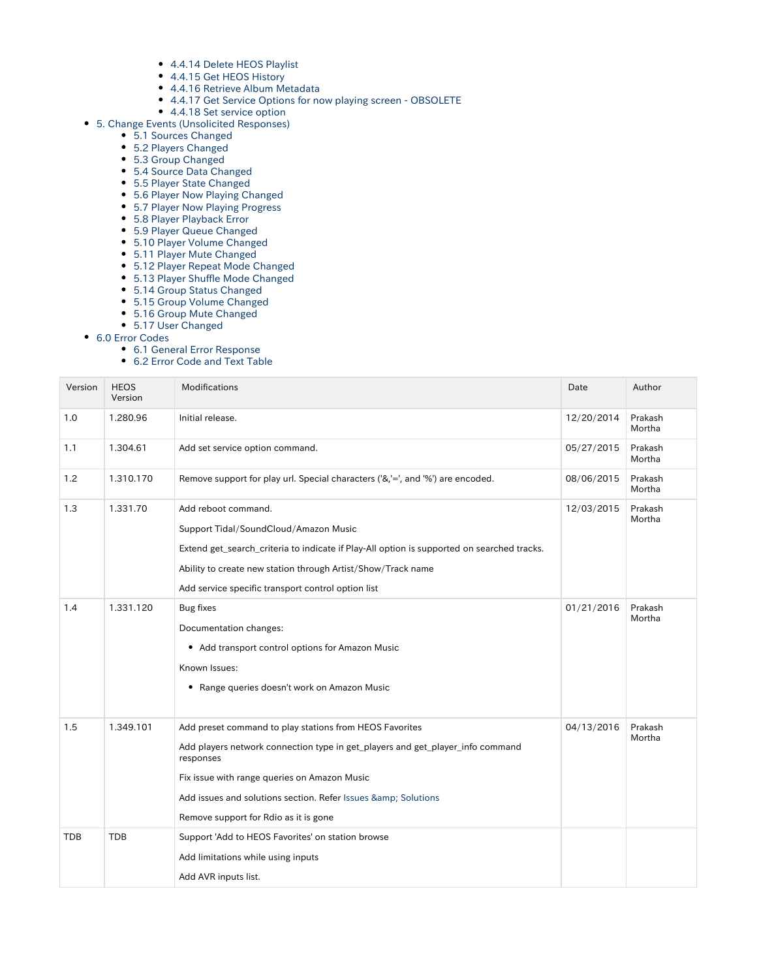- [4.4.14 Delete HEOS Playlist](#page-32-0)
- [4.4.15 Get HEOS History](#page-32-1)
- [4.4.16 Retrieve Album Metadata](#page-32-2)
- [4.4.17 Get Service Options for now playing screen OBSOLETE](#page-33-0)
- [4.4.18 Set service option](#page-34-0)
- [5. Change Events \(Unsolicited Responses\)](#page-36-0)
	- [5.1 Sources Changed](#page-36-1)
		- [5.2 Players Changed](#page-37-0)
	- [5.3 Group Changed](#page-37-1)
	- **[5.4 Source Data Changed](#page-37-2)**
	- [5.5 Player State Changed](#page-37-3)
	- [5.6 Player Now Playing Changed](#page-37-4)
	- [5.7 Player Now Playing Progress](#page-37-5)
	- [5.8 Player Playback Error](#page-38-0)
	- [5.9 Player Queue Changed](#page-38-1)
	- [5.10 Player Volume Changed](#page-38-2)
	- [5.11 Player Mute Changed](#page-38-3)
	- [5.12 Player Repeat Mode Changed](#page-38-4) [5.13 Player Shuffle Mode Changed](#page-39-0)
	-
	- [5.14 Group Status Changed](#page-39-1) [5.15 Group Volume Changed](#page-39-2)
	-
	- [5.16 Group Mute Changed](#page-39-3) [5.17 User Changed](#page-39-4)
- [6.0 Error Codes](#page-39-5)
	- [6.1 General Error Response](#page-39-6)
	- [6.2 Error Code and Text Table](#page-40-0)

<span id="page-1-0"></span>

| Version    | <b>HEOS</b><br>Version | <b>Modifications</b>                                                                                                                                                                                                                                                                                               | Date       | Author            |
|------------|------------------------|--------------------------------------------------------------------------------------------------------------------------------------------------------------------------------------------------------------------------------------------------------------------------------------------------------------------|------------|-------------------|
| 1.0        | 1.280.96               | Initial release.                                                                                                                                                                                                                                                                                                   | 12/20/2014 | Prakash<br>Mortha |
| 1.1        | 1.304.61               | Add set service option command.                                                                                                                                                                                                                                                                                    | 05/27/2015 | Prakash<br>Mortha |
| 1.2        | 1.310.170              | Remove support for play url. Special characters ('&,'=', and '%') are encoded.                                                                                                                                                                                                                                     | 08/06/2015 | Prakash<br>Mortha |
| 1.3        | 1.331.70               | Add reboot command.<br>Support Tidal/SoundCloud/Amazon Music<br>Extend get_search_criteria to indicate if Play-All option is supported on searched tracks.<br>Ability to create new station through Artist/Show/Track name<br>Add service specific transport control option list                                   | 12/03/2015 | Prakash<br>Mortha |
| 1.4        | 1.331.120              | <b>Bug fixes</b><br>Documentation changes:<br>• Add transport control options for Amazon Music<br>Known Issues:<br>• Range queries doesn't work on Amazon Music                                                                                                                                                    | 01/21/2016 | Prakash<br>Mortha |
| 1.5        | 1.349.101              | Add preset command to play stations from HEOS Favorites<br>Add players network connection type in get_players and get_player_info command<br>responses<br>Fix issue with range queries on Amazon Music<br>Add issues and solutions section. Refer Issues & amp; Solutions<br>Remove support for Rdio as it is gone | 04/13/2016 | Prakash<br>Mortha |
| <b>TDB</b> | <b>TDB</b>             | Support 'Add to HEOS Favorites' on station browse<br>Add limitations while using inputs<br>Add AVR inputs list.                                                                                                                                                                                                    |            |                   |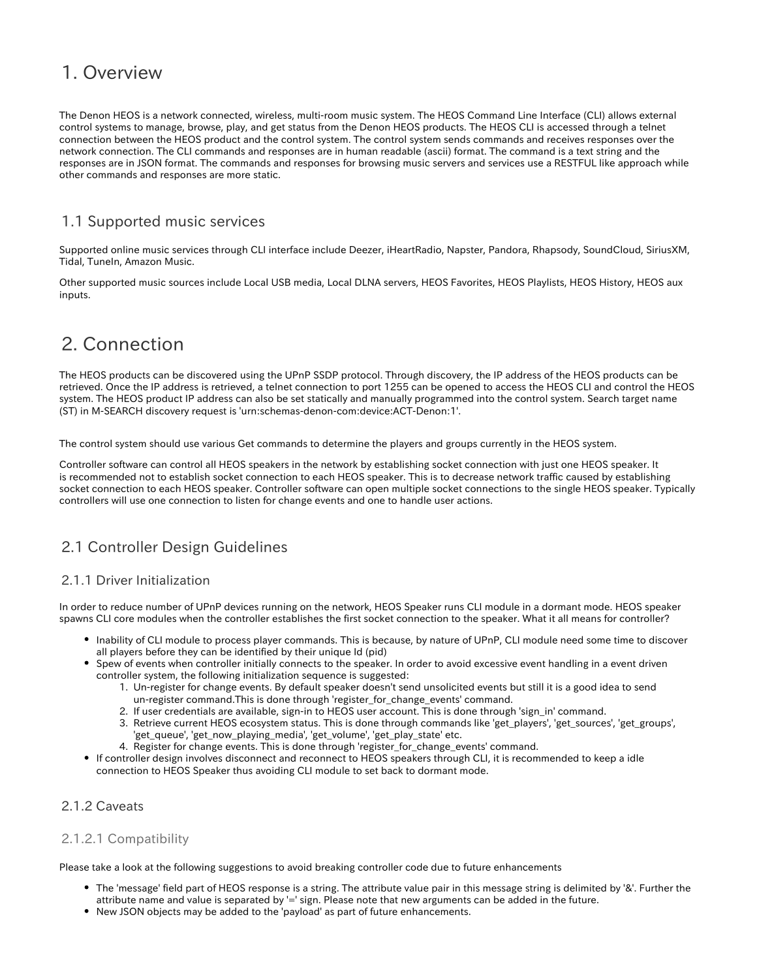## 1. Overview

The Denon HEOS is a network connected, wireless, multi-room music system. The HEOS Command Line Interface (CLI) allows external control systems to manage, browse, play, and get status from the Denon HEOS products. The HEOS CLI is accessed through a telnet connection between the HEOS product and the control system. The control system sends commands and receives responses over the network connection. The CLI commands and responses are in human readable (ascii) format. The command is a text string and the responses are in JSON format. The commands and responses for browsing music servers and services use a RESTFUL like approach while other commands and responses are more static.

### <span id="page-2-0"></span>1.1 Supported music services

Supported online music services through CLI interface include Deezer, iHeartRadio, Napster, Pandora, Rhapsody, SoundCloud, SiriusXM, Tidal, TuneIn, Amazon Music.

Other supported music sources include Local USB media, Local DLNA servers, HEOS Favorites, HEOS Playlists, HEOS History, HEOS aux inputs.

## <span id="page-2-1"></span>2. Connection

The HEOS products can be discovered using the UPnP SSDP protocol. Through discovery, the IP address of the HEOS products can be retrieved. Once the IP address is retrieved, a telnet connection to port 1255 can be opened to access the HEOS CLI and control the HEOS system. The HEOS product IP address can also be set statically and manually programmed into the control system. Search target name (ST) in M-SEARCH discovery request is 'urn:schemas-denon-com:device:ACT-Denon:1'.

The control system should use various Get commands to determine the players and groups currently in the HEOS system.

Controller software can control all HEOS speakers in the network by establishing socket connection with just one HEOS speaker. It is recommended not to establish socket connection to each HEOS speaker. This is to decrease network traffic caused by establishing socket connection to each HEOS speaker. Controller software can open multiple socket connections to the single HEOS speaker. Typically controllers will use one connection to listen for change events and one to handle user actions.

### <span id="page-2-2"></span>2.1 Controller Design Guidelines

#### <span id="page-2-3"></span>2.1.1 Driver Initialization

In order to reduce number of UPnP devices running on the network, HEOS Speaker runs CLI module in a dormant mode. HEOS speaker spawns CLI core modules when the controller establishes the first socket connection to the speaker. What it all means for controller?

- Inability of CLI module to process player commands. This is because, by nature of UPnP, CLI module need some time to discover all players before they can be identified by their unique Id (pid)
- Spew of events when controller initially connects to the speaker. In order to avoid excessive event handling in a event driven controller system, the following initialization sequence is suggested:
	- 1. Un-register for change events. By default speaker doesn't send unsolicited events but still it is a good idea to send un-register command. This is done through 'register for change events' command.
	- 2. If user credentials are available, sign-in to HEOS user account. This is done through 'sign\_in' command.
	- 3. Retrieve current HEOS ecosystem status. This is done through commands like 'get\_players', 'get\_sources', 'get\_groups', 'get\_queue', 'get\_now\_playing\_media', 'get\_volume', 'get\_play\_state' etc.
	- 4. Register for change events. This is done through 'register\_for\_change\_events' command.
- If controller design involves disconnect and reconnect to HEOS speakers through CLI, it is recommended to keep a idle connection to HEOS Speaker thus avoiding CLI module to set back to dormant mode.

#### <span id="page-2-4"></span>2.1.2 Caveats

#### <span id="page-2-5"></span>2.1.2.1 Compatibility

Please take a look at the following suggestions to avoid breaking controller code due to future enhancements

- The 'message' field part of HEOS response is a string. The attribute value pair in this message string is delimited by '&'. Further the attribute name and value is separated by '=' sign. Please note that new arguments can be added in the future.
- <span id="page-2-6"></span>New JSON objects may be added to the 'payload' as part of future enhancements.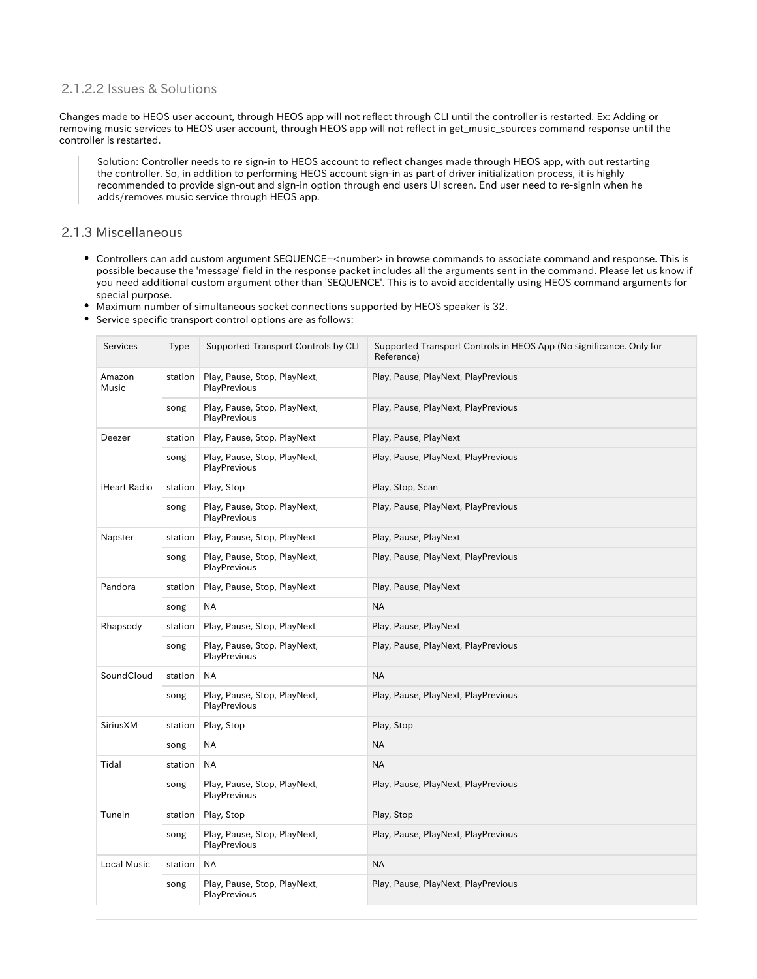#### 2.1.2.2 Issues & Solutions

Changes made to HEOS user account, through HEOS app will not reflect through CLI until the controller is restarted. Ex: Adding or removing music services to HEOS user account, through HEOS app will not reflect in get\_music\_sources command response until the controller is restarted.

Solution: Controller needs to re sign-in to HEOS account to reflect changes made through HEOS app, with out restarting the controller. So, in addition to performing HEOS account sign-in as part of driver initialization process, it is highly recommended to provide sign-out and sign-in option through end users UI screen. End user need to re-signIn when he adds/removes music service through HEOS app.

#### <span id="page-3-0"></span>2.1.3 Miscellaneous

- Controllers can add custom argument SEQUENCE=<number> in browse commands to associate command and response. This is possible because the 'message' field in the response packet includes all the arguments sent in the command. Please let us know if you need additional custom argument other than 'SEQUENCE'. This is to avoid accidentally using HEOS command arguments for special purpose.
- Maximum number of simultaneous socket connections supported by HEOS speaker is 32.
- Service specific transport control options are as follows:

| <b>Services</b>    | <b>Type</b> | Supported Transport Controls by CLI          | Supported Transport Controls in HEOS App (No significance. Only for<br>Reference) |
|--------------------|-------------|----------------------------------------------|-----------------------------------------------------------------------------------|
| Amazon<br>Music    | station     | Play, Pause, Stop, PlayNext,<br>PlayPrevious | Play, Pause, PlayNext, PlayPrevious                                               |
|                    | song        | Play, Pause, Stop, PlayNext,<br>PlayPrevious | Play, Pause, PlayNext, PlayPrevious                                               |
| Deezer             | station     | Play, Pause, Stop, PlayNext                  | Play, Pause, PlayNext                                                             |
|                    | song        | Play, Pause, Stop, PlayNext,<br>PlayPrevious | Play, Pause, PlayNext, PlayPrevious                                               |
| iHeart Radio       | station     | Play, Stop                                   | Play, Stop, Scan                                                                  |
|                    | song        | Play, Pause, Stop, PlayNext,<br>PlayPrevious | Play, Pause, PlayNext, PlayPrevious                                               |
| Napster            | station     | Play, Pause, Stop, PlayNext                  | Play, Pause, PlayNext                                                             |
|                    | song        | Play, Pause, Stop, PlayNext,<br>PlayPrevious | Play, Pause, PlayNext, PlayPrevious                                               |
| Pandora            | station     | Play, Pause, Stop, PlayNext                  | Play, Pause, PlayNext                                                             |
|                    | song        | NA                                           | <b>NA</b>                                                                         |
| Rhapsody           | station     | Play, Pause, Stop, PlayNext                  | Play, Pause, PlayNext                                                             |
|                    | song        | Play, Pause, Stop, PlayNext,<br>PlayPrevious | Play, Pause, PlayNext, PlayPrevious                                               |
| SoundCloud         | station     | <b>NA</b>                                    | <b>NA</b>                                                                         |
|                    | song        | Play, Pause, Stop, PlayNext,<br>PlayPrevious | Play, Pause, PlayNext, PlayPrevious                                               |
| SiriusXM           | station     | Play, Stop                                   | Play, Stop                                                                        |
|                    | song        | <b>NA</b>                                    | <b>NA</b>                                                                         |
| Tidal              | station     | <b>NA</b>                                    | <b>NA</b>                                                                         |
|                    | song        | Play, Pause, Stop, PlayNext,<br>PlayPrevious | Play, Pause, PlayNext, PlayPrevious                                               |
| Tunein             | station     | Play, Stop                                   | Play, Stop                                                                        |
|                    | song        | Play, Pause, Stop, PlayNext,<br>PlayPrevious | Play, Pause, PlayNext, PlayPrevious                                               |
| <b>Local Music</b> | station     | ΝA                                           | <b>NA</b>                                                                         |
|                    | song        | Play, Pause, Stop, PlayNext,<br>PlayPrevious | Play, Pause, PlayNext, PlayPrevious                                               |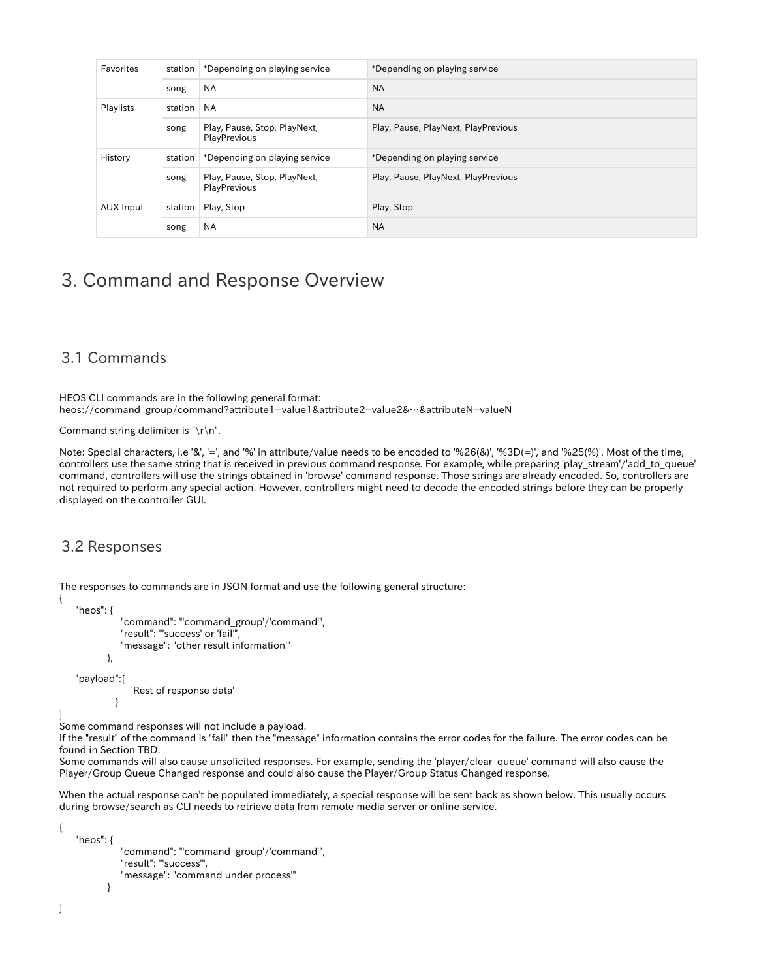|  | Favorites | station | *Depending on playing service                | *Depending on playing service       |
|--|-----------|---------|----------------------------------------------|-------------------------------------|
|  |           | song    | <b>NA</b>                                    | <b>NA</b>                           |
|  | Playlists | station | <b>NA</b>                                    | <b>NA</b>                           |
|  |           | song    | Play, Pause, Stop, PlayNext,<br>PlayPrevious | Play, Pause, PlayNext, PlayPrevious |
|  | History   | station | *Depending on playing service                | *Depending on playing service       |
|  |           | song    | Play, Pause, Stop, PlayNext,<br>PlayPrevious | Play, Pause, PlayNext, PlayPrevious |
|  | AUX Input | station | Play, Stop                                   | Play, Stop                          |
|  |           | song    | <b>NA</b>                                    | <b>NA</b>                           |

## <span id="page-4-0"></span>3. Command and Response Overview

#### <span id="page-4-1"></span>3.1 Commands

HEOS CLI commands are in the following general format: heos://command\_group/command?attribute1=value1&attribute2=value2&…&attributeN=valueN

Command string delimiter is "\r\n".

Note: Special characters, i.e '&', '=', and '%' in attribute/value needs to be encoded to '%26(&)', '%3D(=)', and '%25(%)'. Most of the time, controllers use the same string that is received in previous command response. For example, while preparing 'play\_stream'/'add\_to\_queue' command, controllers will use the strings obtained in 'browse' command response. Those strings are already encoded. So, controllers are not required to perform any special action. However, controllers might need to decode the encoded strings before they can be properly displayed on the controller GUI.

#### <span id="page-4-2"></span>3.2 Responses

The responses to commands are in JSON format and use the following general structure:

```
 "heos": {
           "command": "'command_group'/'command'",
           "result": "'success' or 'fail'",
           "message": "other result information'"
        },
 "payload":{
              'Rest of response data'
```
 } }

{

Some command responses will not include a payload.

If the "result" of the command is "fail" then the "message" information contains the error codes for the failure. The error codes can be found in Section TBD.

Some commands will also cause unsolicited responses. For example, sending the 'player/clear\_queue' command will also cause the Player/Group Queue Changed response and could also cause the Player/Group Status Changed response.

When the actual response can't be populated immediately, a special response will be sent back as shown below. This usually occurs during browse/search as CLI needs to retrieve data from remote media server or online service.

```
 "heos": {
             "command": "'command_group'/'command'",
            "result": "'success'",
             "message": "command under process'"
 }
```
{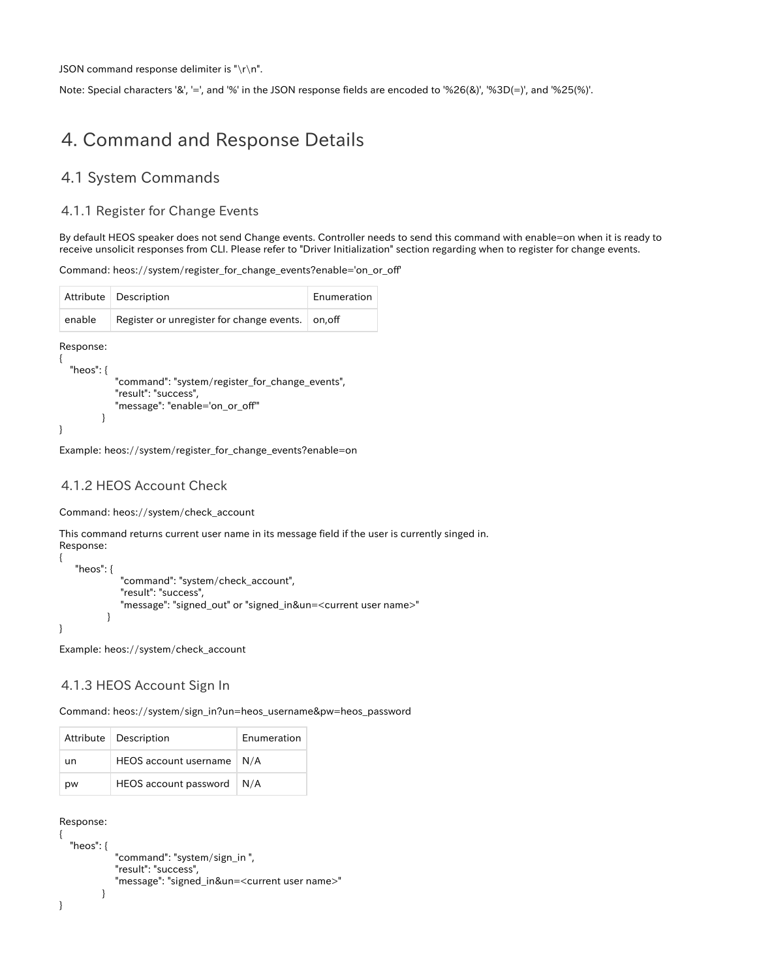JSON command response delimiter is "\r\n".

Note: Special characters '&', '=', and '%' in the JSON response fields are encoded to '%26(&)', '%3D(=)', and '%25(%)'.

## <span id="page-5-0"></span>4. Command and Response Details

#### <span id="page-5-1"></span>4.1 System Commands

#### <span id="page-5-2"></span>4.1.1 Register for Change Events

By default HEOS speaker does not send Change events. Controller needs to send this command with enable=on when it is ready to receive unsolicit responses from CLI. Please refer to "Driver Initialization" section regarding when to register for change events.

```
Command: heos://system/register_for_change_events?enable='on_or_off'
```

| Attribute                 | Description                                                                                               | Enumeration |
|---------------------------|-----------------------------------------------------------------------------------------------------------|-------------|
| enable                    | Register or unregister for change events.                                                                 | on.off      |
| Response:<br>"heos": $\{$ | "command": "system/register for change events",<br>"result": "success",<br>"message": "enable='on_or_off" |             |

Example: heos://system/register\_for\_change\_events?enable=on

#### <span id="page-5-3"></span>4.1.2 HEOS Account Check

Command: heos://system/check\_account

This command returns current user name in its message field if the user is currently singed in. Response:

```
{
     "heos": {
               "command": "system/check_account",
               "result": "success",
               "message": "signed_out" or "signed_in&un=<current user name>" 
           }
}
```
Example: heos://system/check\_account

#### <span id="page-5-4"></span>4.1.3 HEOS Account Sign In

Command: heos://system/sign\_in?un=heos\_username&pw=heos\_password

|    | Attribute   Description      | Enumeration |
|----|------------------------------|-------------|
| un | <b>HEOS</b> account username | N/A         |
| pw | HEOS account password        | $\mid N/A$  |

```
Response:
```

```
{
   "heos": {
             "command": "system/sign_in ",
             "result": "success",
             "message": "signed_in&un=<current user name>"
 }
}
```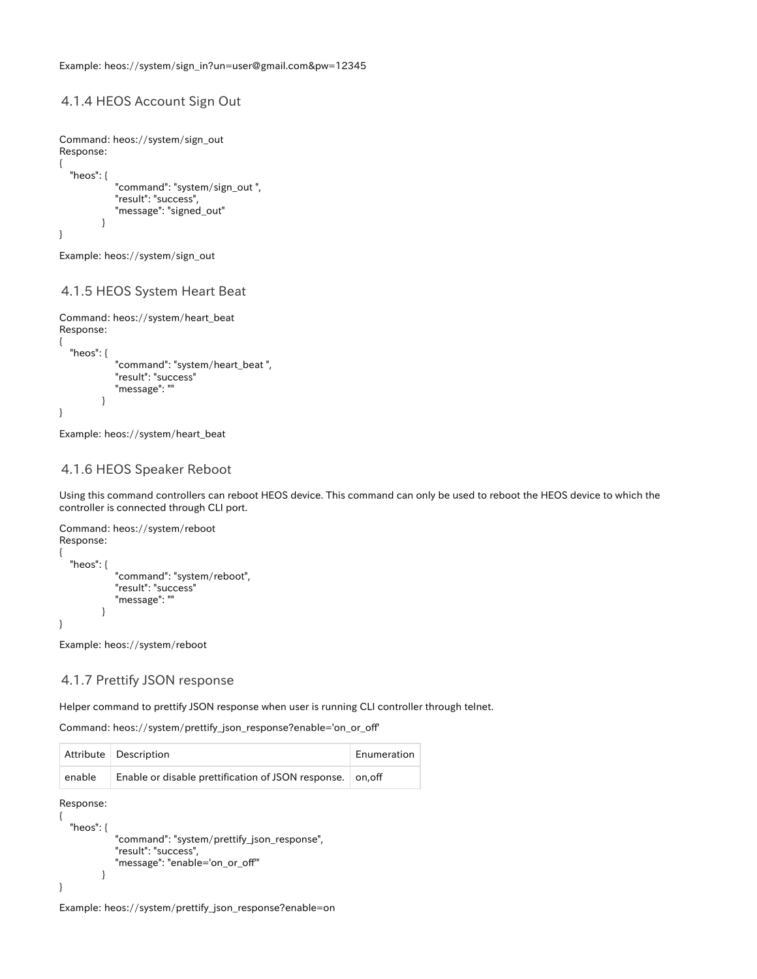#### <span id="page-6-0"></span>4.1.4 HEOS Account Sign Out

```
Command: heos://system/sign_out 
Response:
{
   "heos": {
             "command": "system/sign_out ",
             "result": "success",
             "message": "signed_out"
 }
}
```
Example: heos://system/sign\_out

#### <span id="page-6-1"></span>4.1.5 HEOS System Heart Beat

```
Command: heos://system/heart_beat 
Response:
{
   "heos": {
             "command": "system/heart_beat ",
             "result": "success"
             "message": ""
 }
}
```
Example: heos://system/heart\_beat

#### <span id="page-6-2"></span>4.1.6 HEOS Speaker Reboot

Using this command controllers can reboot HEOS device. This command can only be used to reboot the HEOS device to which the controller is connected through CLI port.

```
Command: heos://system/reboot
Response:
{
   "heos": {
             "command": "system/reboot",
             "result": "success"
             "message": ""
 }
}
```
Example: heos://system/reboot

#### <span id="page-6-3"></span>4.1.7 Prettify JSON response

Helper command to prettify JSON response when user is running CLI controller through telnet.

Command: heos://system/prettify\_json\_response?enable='on\_or\_off'

|        | Attribute   Description                                   | Enumeration |
|--------|-----------------------------------------------------------|-------------|
| enable | Enable or disable prettification of JSON response. on off |             |

Response:

```
{
   "heos": {
              "command": "system/prettify_json_response",
              "result": "success",
              "message": "enable='on_or_off'"
           }
}
```
<span id="page-6-4"></span>Example: heos://system/prettify\_json\_response?enable=on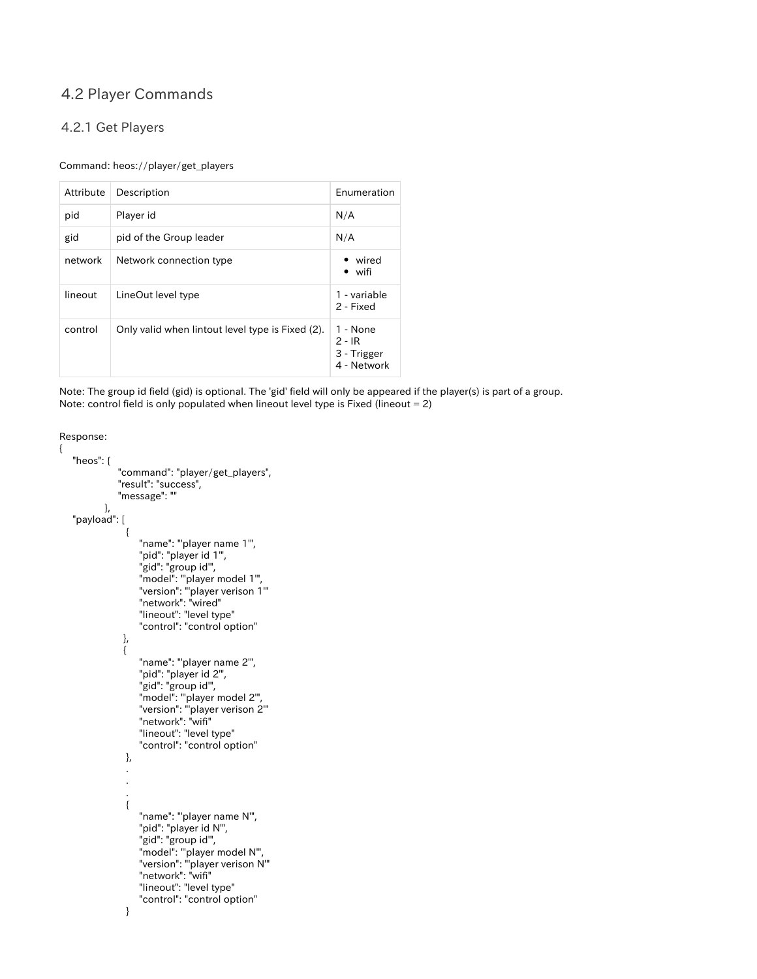### 4.2 Player Commands

#### <span id="page-7-0"></span>4.2.1 Get Players

#### Command: heos://player/get\_players

| Attribute | Description                                      | Enumeration                                        |
|-----------|--------------------------------------------------|----------------------------------------------------|
| pid       | Player id                                        | N/A                                                |
| gid       | pid of the Group leader                          | N/A                                                |
| network   | Network connection type                          | wired<br>$\bullet$ wifi                            |
| lineout   | LineOut level type                               | 1 - variable<br>2 - Fixed                          |
| control   | Only valid when lintout level type is Fixed (2). | 1 - None<br>$2 - IR$<br>3 - Trigger<br>4 - Network |

Note: The group id field (gid) is optional. The 'gid' field will only be appeared if the player(s) is part of a group. Note: control field is only populated when lineout level type is Fixed (lineout =  $2$ )

```
Response:
```
{

```
 "heos": {
            "command": "player/get_players",
            "result": "success",
            "message": ""
         },
   "payload": [
\left\{ \begin{array}{c} 1 & 1 \\ 1 & 1 \end{array} \right\}"name": "player name 1",
 "pid": "player id 1'",
 "gid": "group id'",
 "model": "'player model 1'",
 "version": "'player verison 1'"
                 "network": "wired"
                 "lineout": "level type"
                 "control": "control option"
\qquad \qquad \}\left\{ \begin{array}{c} 1 & 1 \\ 1 & 1 \end{array} \right\} "name": "'player name 2'",
 "pid": "player id 2'",
 "gid": "group id'",
 "model": "'player model 2'",
 "version": "'player verison 2'"
 "network": "wifi"
                 "lineout": "level type"
                 "control": "control option"
             },
 .
 .
 .
\left\{ \begin{array}{c} 1 & 1 \\ 1 & 1 \end{array} \right\} "name": "'player name N'",
 "pid": "player id N'",
 "gid": "group id'",
                 "model": "'player model N'",
                 "version": "'player verison N'"
 "network": "wifi"
 "lineout": "level type"
 "control": "control option"
}<br>}<br>}
```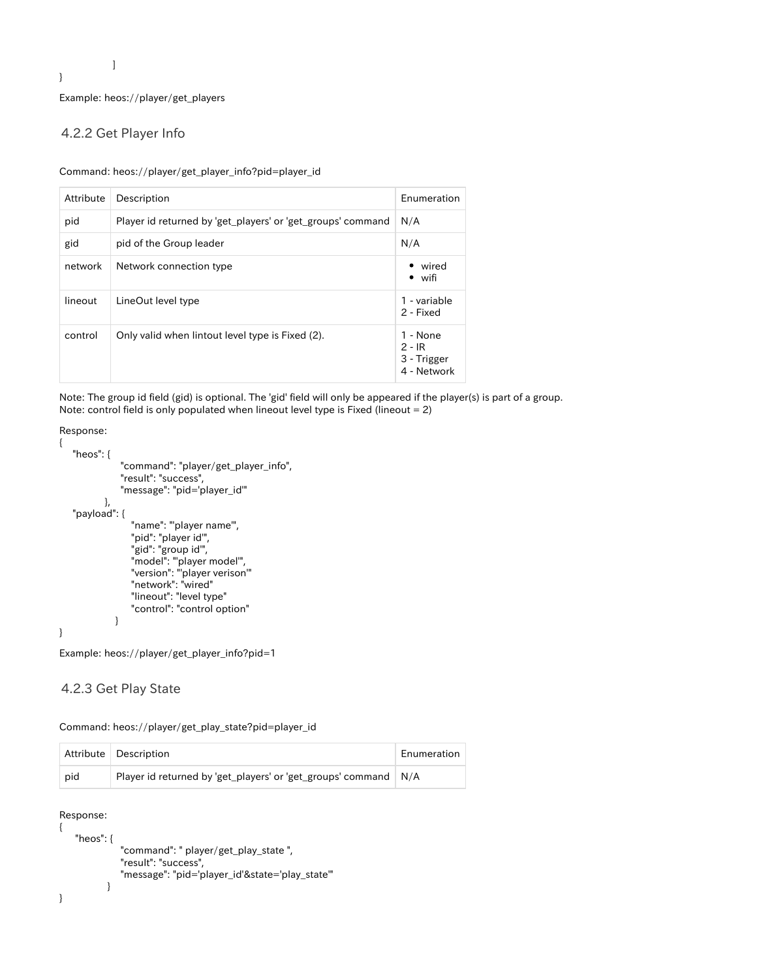]

}

Example: heos://player/get\_players

#### <span id="page-8-0"></span>4.2.2 Get Player Info

Command: heos://player/get\_player\_info?pid=player\_id

| Attribute | Description                                                 | Enumeration                                        |
|-----------|-------------------------------------------------------------|----------------------------------------------------|
| pid       | Player id returned by 'get_players' or 'get_groups' command | N/A                                                |
| gid       | pid of the Group leader                                     | N/A                                                |
| network   | Network connection type                                     | • wired<br>• wifi                                  |
| lineout   | LineOut level type                                          | 1 - variable<br>2 - Fixed                          |
| control   | Only valid when lintout level type is Fixed (2).            | 1 - None<br>$2 - IR$<br>3 - Trigger<br>4 - Network |

Note: The group id field (gid) is optional. The 'gid' field will only be appeared if the player(s) is part of a group. Note: control field is only populated when lineout level type is Fixed (lineout = 2)

```
Response:
```
{

}

```
 "heos": {
 "command": "player/get_player_info",
 "result": "success",
            "message": "pid='player_id'"
         },
   "payload": {
              "name": "'player name'",
              "pid": "player id'",
 "gid": "group id'",
 "model": "'player model'",
 "version": "'player verison'"
 "network": "wired"
              "lineout": "level type"
              "control": "control option"
           }
```
Example: heos://player/get\_player\_info?pid=1

#### <span id="page-8-1"></span>4.2.3 Get Play State

Command: heos://player/get\_play\_state?pid=player\_id

|     | Attribute   Description                                         | Enumeration |
|-----|-----------------------------------------------------------------|-------------|
| pid | Player id returned by 'get_players' or 'get_groups' command N/A |             |

```
Response:
```

```
{
    "heos": {
               "command": " player/get_play_state ",
               "result": "success",
               "message": "pid='player_id'&state='play_state'"
            }
}
```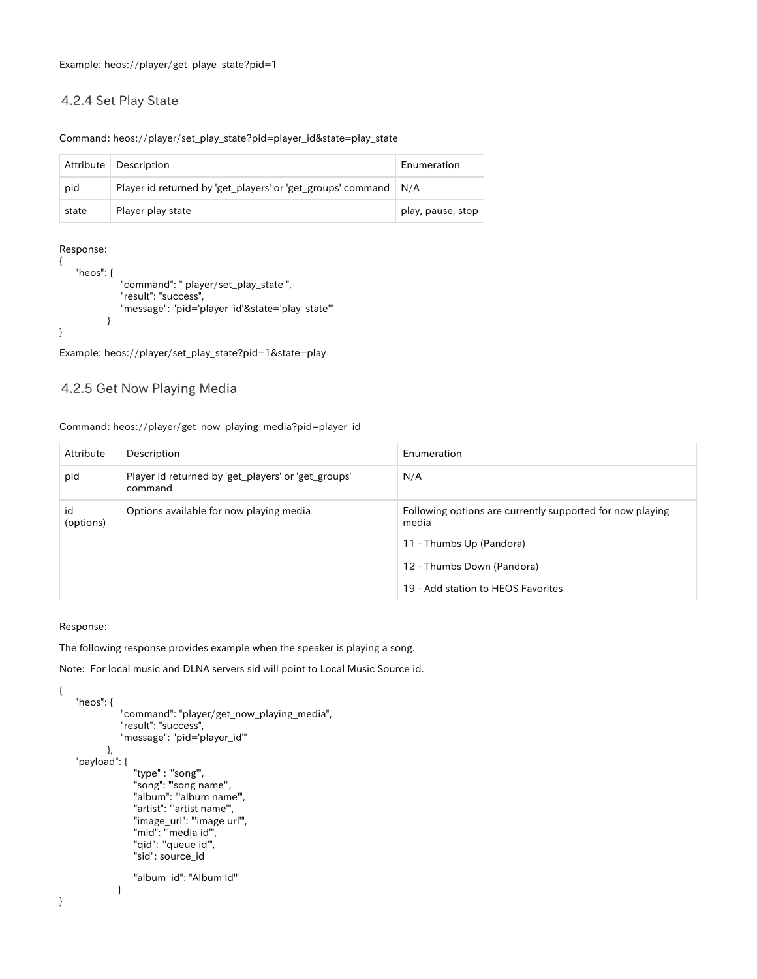#### <span id="page-9-0"></span>4.2.4 Set Play State

#### Command: heos://player/set\_play\_state?pid=player\_id&state=play\_state

| Attribute | Description                                                       | Enumeration       |
|-----------|-------------------------------------------------------------------|-------------------|
| pid       | Player id returned by 'get_players' or 'get_groups' command   N/A |                   |
| state     | Player play state                                                 | play, pause, stop |

Response:

| "heos": $\{$ |                                                 |
|--------------|-------------------------------------------------|
|              | "command": " player/set play state",            |
|              | "result": "success",                            |
|              | "message": "pid='player_id'&state='play_state'" |
|              |                                                 |
|              |                                                 |

Example: heos://player/set\_play\_state?pid=1&state=play

#### <span id="page-9-1"></span>4.2.5 Get Now Playing Media

#### Command: heos://player/get\_now\_playing\_media?pid=player\_id

| Attribute       | Description                                                    | Enumeration                                                        |
|-----------------|----------------------------------------------------------------|--------------------------------------------------------------------|
| pid             | Player id returned by 'get_players' or 'get_groups'<br>command | N/A                                                                |
| id<br>(options) | Options available for now playing media                        | Following options are currently supported for now playing<br>media |
|                 |                                                                | 11 - Thumbs Up (Pandora)                                           |
|                 |                                                                | 12 - Thumbs Down (Pandora)                                         |
|                 |                                                                | 19 - Add station to HEOS Favorites                                 |

#### Response:

{

}

The following response provides example when the speaker is playing a song.

Note: For local music and DLNA servers sid will point to Local Music Source id.

```
 "heos": {
              "command": "player/get_now_playing_media",
             "result": "success",
             "message": "pid='player_id'"
          },
    "payload": {
                "type" : "'song'",
                "song": "'song name'",
 "album": "'album name'",
 "artist": "'artist name'",
                "image_url": "'image url'",
               "mid": "media id",
                "qid": "'queue id'",
                "sid": source_id
                "album_id": "Album Id'"
            }
```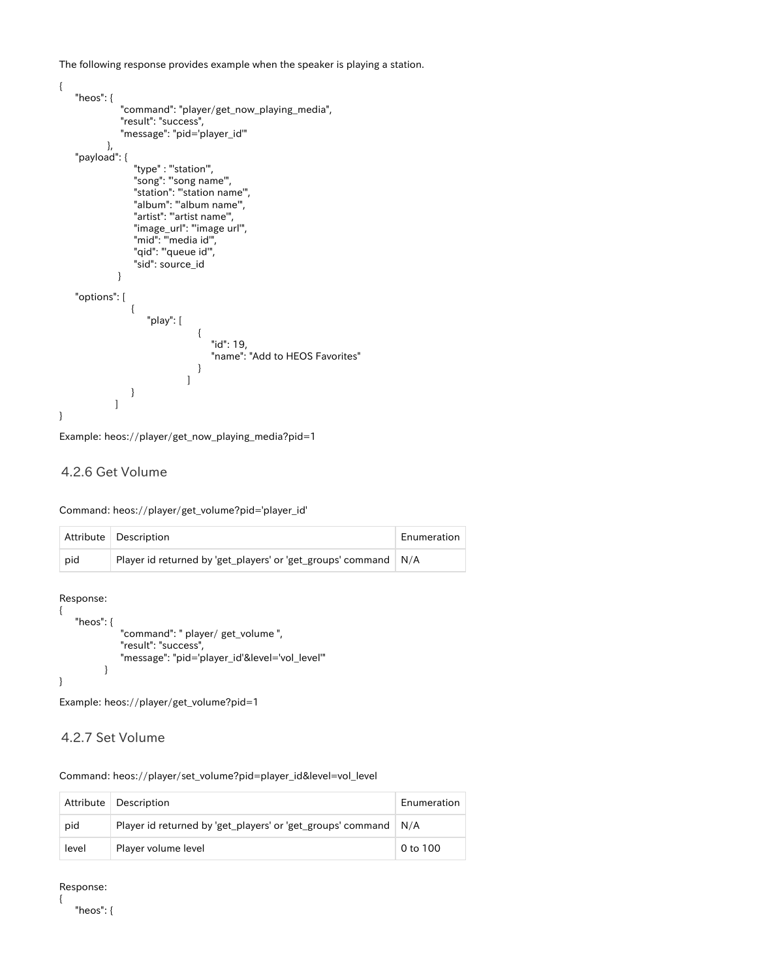The following response provides example when the speaker is playing a station.

```
{
      "heos": {
                   "command": "player/get_now_playing_media",
                    "result": "success",
                   "message": "pid='player_id'"
               },
      "payload": {
 "type" : "'station'",
 "song": "'song name'",
                       "station": "'station name'",
                       "album": "'album name'",
                       "artist": "'artist name'",
                       "image_url": "'image url'",
 "mid": "'media id'",
 "qid": "'queue id'",
                       "sid": source_id
                  }
     "options": [
\left\{ \begin{array}{ccc} 1 & 0 & 0 \\ 0 & 0 & 0 \\ 0 & 0 & 0 \\ 0 & 0 & 0 \\ 0 & 0 & 0 \\ 0 & 0 & 0 \\ 0 & 0 & 0 \\ 0 & 0 & 0 \\ 0 & 0 & 0 \\ 0 & 0 & 0 \\ 0 & 0 & 0 \\ 0 & 0 & 0 \\ 0 & 0 & 0 \\ 0 & 0 & 0 & 0 \\ 0 & 0 & 0 & 0 \\ 0 & 0 & 0 & 0 \\ 0 & 0 & 0 & 0 & 0 \\ 0 & 0 & 0 & 0 & 0 \\ 0 & 0 & 0 & 0 & 0 \\ 0 & 0 & 0 & 0 "play": [
\{ "id": 19,
                                               "name": "Add to HEOS Favorites"
 }
 ]
                      }
                 ]
}
```

```
Example: heos://player/get_now_playing_media?pid=1
```
#### <span id="page-10-0"></span>4.2.6 Get Volume

Command: heos://player/get\_volume?pid='player\_id'

|     | Attribute Description                                                  | Enumeration |
|-----|------------------------------------------------------------------------|-------------|
| pid | Player id returned by 'get_players' or 'get_groups' command $\mid N/A$ |             |

Response:

```
{
     "heos": {
                "command": " player/ get_volume ",
                "result": "success",
               "message": "pid='player_id'&level='vol_level'"
           }
}
```
Example: heos://player/get\_volume?pid=1

<span id="page-10-1"></span>4.2.7 Set Volume

Command: heos://player/set\_volume?pid=player\_id&level=vol\_level

|       | Attribute   Description                                           | Enumeration |
|-------|-------------------------------------------------------------------|-------------|
| pid   | Player id returned by 'get_players' or 'get_groups' command   N/A |             |
| level | Player volume level                                               | 0 to 100    |

Response:

{

"heos": {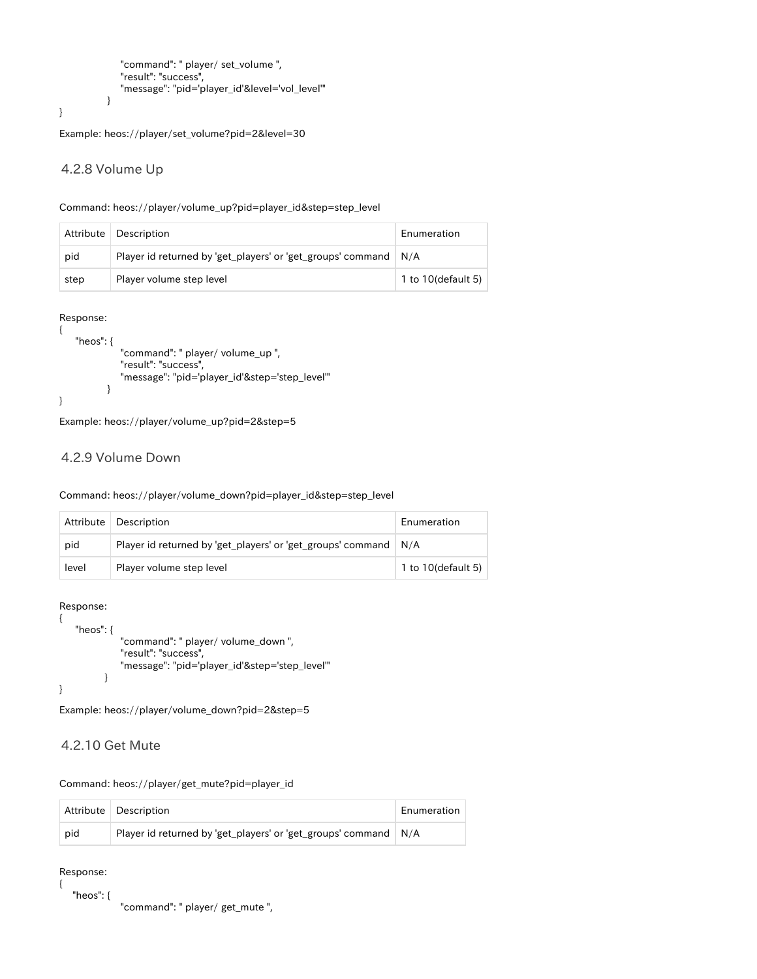```
 "command": " player/ set_volume ",
    "result": "success",
    "message": "pid='player_id'&level='vol_level'"
 }
```
}

Example: heos://player/set\_volume?pid=2&level=30

#### <span id="page-11-0"></span>4.2.8 Volume Up

| Command: heos://player/volume_up?pid=player_id&step=step_level |  |  |  |
|----------------------------------------------------------------|--|--|--|
|                                                                |  |  |  |

| Attribute | Description                                                       | Enumeration        |
|-----------|-------------------------------------------------------------------|--------------------|
| pid       | Player id returned by 'get_players' or 'get_groups' command   N/A |                    |
| step      | Player volume step level                                          | 1 to 10(default 5) |

Response:

{

```
 "heos": {
               "command": " player/ volume_up ",
               "result": "success",
               "message": "pid='player_id'&step='step_level'"
            }
}
```
Example: heos://player/volume\_up?pid=2&step=5

#### <span id="page-11-1"></span>4.2.9 Volume Down

#### Command: heos://player/volume\_down?pid=player\_id&step=step\_level

| Attribute | Description                                                 | Enumeration           |
|-----------|-------------------------------------------------------------|-----------------------|
| pid       | Player id returned by 'get_players' or 'get_groups' command | N/A                   |
| level     | Player volume step level                                    | 1 to $10$ (default 5) |

Response:

```
{
    "heos": {
               "command": " player/ volume_down ",
               "result": "success",
               "message": "pid='player_id'&step='step_level'"
           }
}
```
Example: heos://player/volume\_down?pid=2&step=5

#### <span id="page-11-2"></span>4.2.10 Get Mute

Command: heos://player/get\_mute?pid=player\_id

|     | Attribute Description                                             | Enumeration |
|-----|-------------------------------------------------------------------|-------------|
| pid | Player id returned by 'get_players' or 'get_groups' command   N/A |             |

Response:

{

"heos": {

"command": " player/ get\_mute ",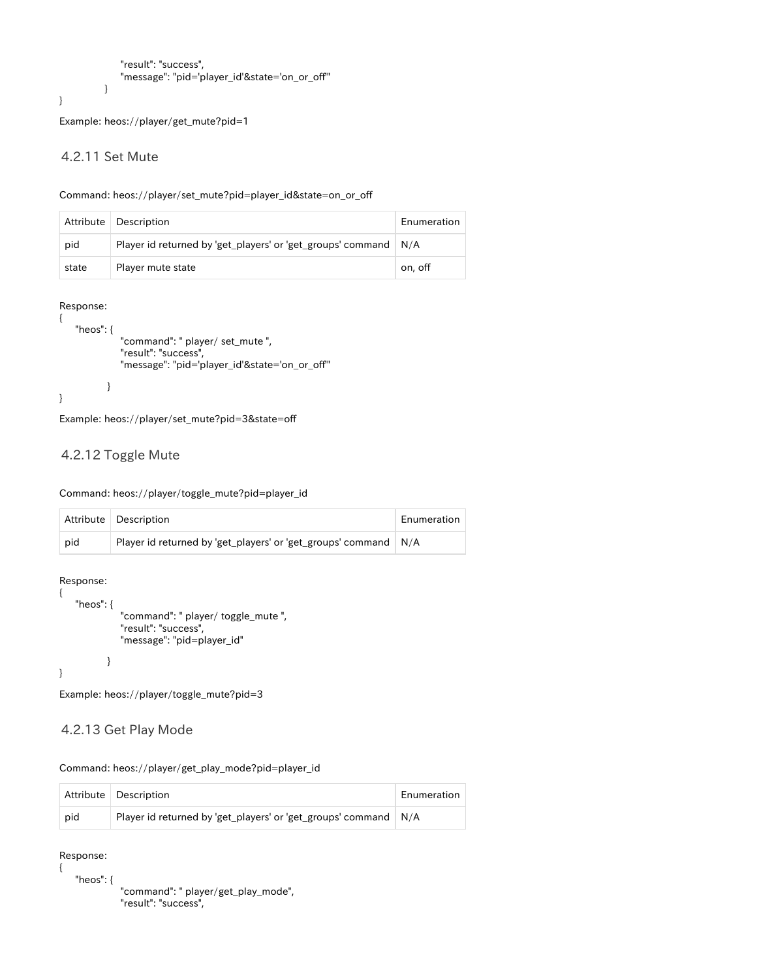```
 "result": "success",
     "message": "pid='player_id'&state='on_or_off'"
 }
```
Example: heos://player/get\_mute?pid=1

#### <span id="page-12-0"></span>4.2.11 Set Mute

}

#### Command: heos://player/set\_mute?pid=player\_id&state=on\_or\_off

|       | Attribute   Description                                     | Enumeration |
|-------|-------------------------------------------------------------|-------------|
| pid   | Player id returned by 'get_players' or 'get_groups' command | N/A         |
| state | Player mute state                                           | on, off     |

#### Response:

```
{
    "heos": {
               "command": " player/ set_mute ",
               "result": "success",
               "message": "pid='player_id'&state='on_or_off'"
            }
}
```
Example: heos://player/set\_mute?pid=3&state=off

#### <span id="page-12-1"></span>4.2.12 Toggle Mute

Command: heos://player/toggle\_mute?pid=player\_id

|     | Attribute Description                                             | Enumeration |
|-----|-------------------------------------------------------------------|-------------|
| pid | Player id returned by 'get_players' or 'get_groups' command   N/A |             |

Response:

{

}

```
 "heos": {
           "command": " player/ toggle_mute ",
           "result": "success",
           "message": "pid=player_id"
       }
```
Example: heos://player/toggle\_mute?pid=3

#### <span id="page-12-2"></span>4.2.13 Get Play Mode

Command: heos://player/get\_play\_mode?pid=player\_id

|     | Attribute   Description                                         | Enumeration |
|-----|-----------------------------------------------------------------|-------------|
| pid | Player id returned by 'get_players' or 'get_groups' command N/A |             |

Response: {

"heos": {

```
 "command": " player/get_play_mode",
 "result": "success",
```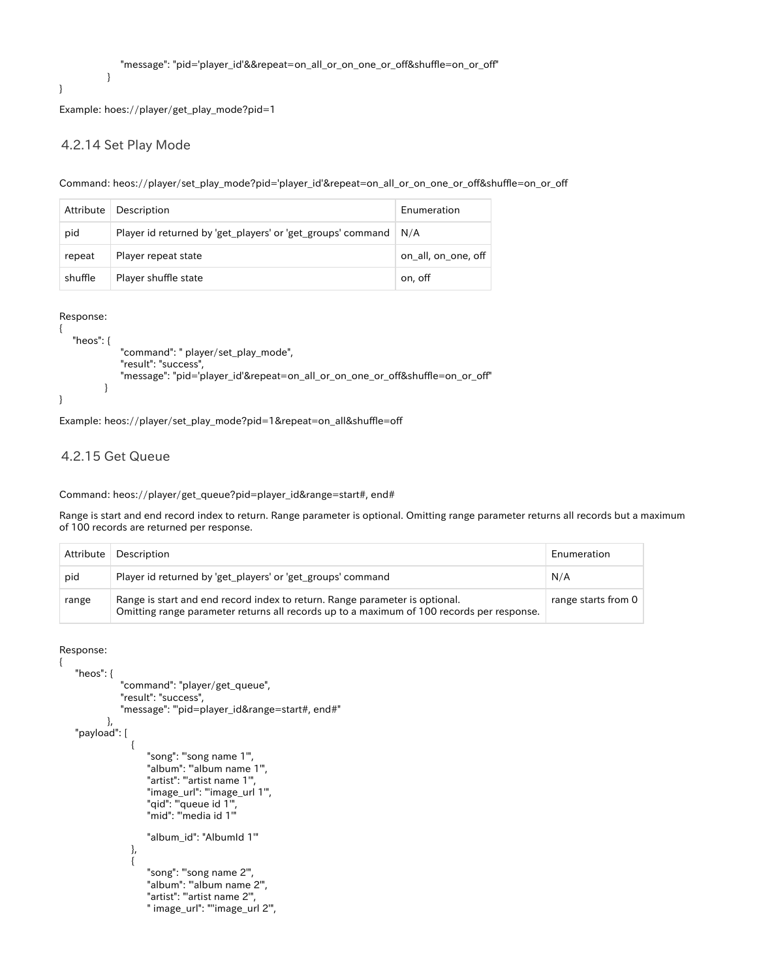}

Example: hoes://player/get\_play\_mode?pid=1

#### <span id="page-13-0"></span>4.2.14 Set Play Mode

}

Command: heos://player/set\_play\_mode?pid='player\_id'&repeat=on\_all\_or\_on\_one\_or\_off&shuffle=on\_or\_off

| Attribute | Description                                                       | Enumeration         |
|-----------|-------------------------------------------------------------------|---------------------|
| pid       | Player id returned by 'get_players' or 'get_groups' command   N/A |                     |
| repeat    | Player repeat state                                               | on all, on one, off |
| shuffle   | Player shuffle state                                              | on, off             |

Response:

```
{
    "heos": {
              "command": " player/set_play_mode",
              "result": "success",
              "message": "pid='player_id'&repeat=on_all_or_on_one_or_off&shuffle=on_or_off"
 }
}
```
Example: heos://player/set\_play\_mode?pid=1&repeat=on\_all&shuffle=off

#### <span id="page-13-1"></span>4.2.15 Get Queue

Command: heos://player/get\_queue?pid=player\_id&range=start#, end#

Range is start and end record index to return. Range parameter is optional. Omitting range parameter returns all records but a maximum of 100 records are returned per response.

| Attribute | Description                                                                                                                                                              | Enumeration         |
|-----------|--------------------------------------------------------------------------------------------------------------------------------------------------------------------------|---------------------|
| pid       | Player id returned by 'get_players' or 'get_groups' command                                                                                                              | N/A                 |
| range     | Range is start and end record index to return. Range parameter is optional.<br>Omitting range parameter returns all records up to a maximum of 100 records per response. | range starts from 0 |

Response:

{

```
 "heos": {
                        "command": "player/get_queue",
                        "result": "success",
                       "message": "'pid=player_id&range=start#, end#"
                  },
      "payload": [
\left\{ \begin{array}{c} 1 & 1 \\ 1 & 1 \end{array} \right\} "song": "'song name 1'",
                                  "album": "'album name 1'",
                                  "artist": "'artist name 1'",
                                  "image_url": "'image_url 1'",
 "qid": "'queue id 1'",
 "mid": "'media id 1'"
                                  "album_id": "AlbumId 1'"
                           },
\left\{ \begin{array}{ccc} 1 & 0 & 0 \\ 0 & 0 & 0 \\ 0 & 0 & 0 \\ 0 & 0 & 0 \\ 0 & 0 & 0 \\ 0 & 0 & 0 \\ 0 & 0 & 0 \\ 0 & 0 & 0 \\ 0 & 0 & 0 \\ 0 & 0 & 0 \\ 0 & 0 & 0 \\ 0 & 0 & 0 \\ 0 & 0 & 0 \\ 0 & 0 & 0 & 0 \\ 0 & 0 & 0 & 0 \\ 0 & 0 & 0 & 0 \\ 0 & 0 & 0 & 0 & 0 \\ 0 & 0 & 0 & 0 & 0 \\ 0 & 0 & 0 & 0 & 0 \\ 0 & 0 & 0 & 0 "song": "'song name 2'",
                                  "album": "'album name 2'",
                                  "artist": "'artist name 2'",
                                  " image_url": "''image_url 2'",
```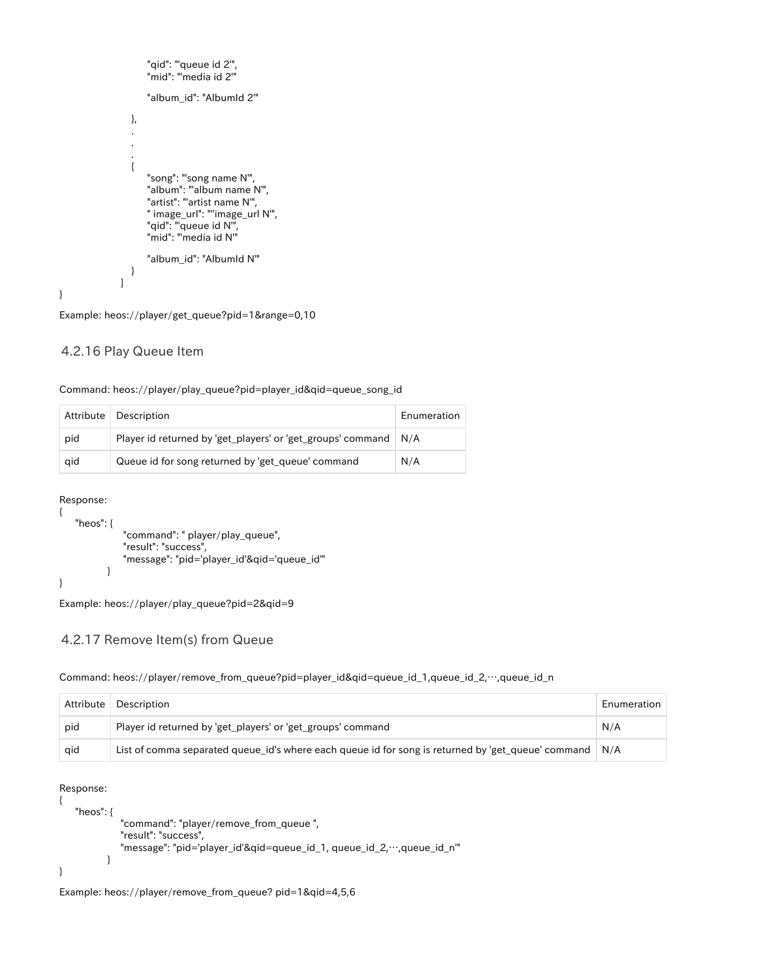```
 "qid": "'queue id 2'",
 "mid": "'media id 2'"
                           "album_id": "AlbumId 2'"
                     },
 .
 .
 .
\left\{ \begin{array}{ccc} 1 & 0 & 0 \\ 0 & 0 & 0 \\ 0 & 0 & 0 \\ 0 & 0 & 0 \\ 0 & 0 & 0 \\ 0 & 0 & 0 \\ 0 & 0 & 0 \\ 0 & 0 & 0 \\ 0 & 0 & 0 \\ 0 & 0 & 0 \\ 0 & 0 & 0 \\ 0 & 0 & 0 \\ 0 & 0 & 0 \\ 0 & 0 & 0 & 0 \\ 0 & 0 & 0 & 0 \\ 0 & 0 & 0 & 0 \\ 0 & 0 & 0 & 0 & 0 \\ 0 & 0 & 0 & 0 & 0 \\ 0 & 0 & 0 & 0 & 0 \\ 0 & 0 & 0 & 0 "song": "'song name N'",
 "album": "'album name N'",
 "artist": "'artist name N'",
 " image_url": "''image_url N'",
 "qid": "'queue id N'",
                          "mid": "media id N"
                           "album_id": "AlbumId N'"
                     }
[[]
```

```
Example: heos://player/get_queue?pid=1&range=0,10
```
#### <span id="page-14-0"></span>4.2.16 Play Queue Item

|  | Command: heos://player/play_queue?pid=player_id&qid=queue_song_id |  |
|--|-------------------------------------------------------------------|--|
|--|-------------------------------------------------------------------|--|

| Attribute | <b>Description</b>                                                | Enumeration |
|-----------|-------------------------------------------------------------------|-------------|
| pid       | Player id returned by 'get_players' or 'get_groups' command   N/A |             |
| qid       | Queue id for song returned by 'get_queue' command                 | N/A         |

Response:

}

```
{
    "heos": {
                "command": " player/play_queue",
                "result": "success",
                "message": "pid='player_id'&qid='queue_id'"
           }
}
```
Example: heos://player/play\_queue?pid=2&qid=9

#### <span id="page-14-1"></span>4.2.17 Remove Item(s) from Queue

#### Command: heos://player/remove\_from\_queue?pid=player\_id&qid=queue\_id\_1,queue\_id\_2,…,queue\_id\_n

| Attribute | Description                                                                                            | Enumeration |
|-----------|--------------------------------------------------------------------------------------------------------|-------------|
| pid       | Player id returned by 'get_players' or 'get_groups' command                                            | N/A         |
| qid       | List of comma separated queue_id's where each queue id for song is returned by 'get_queue' command N/A |             |

#### Response:

{

}

```
 "heos": {
           "command": "player/remove_from_queue ",
          "result": "success",
           "message": "pid='player_id'&qid=queue_id_1, queue_id_2,…,queue_id_n'"
       }
```
<span id="page-14-2"></span>Example: heos://player/remove\_from\_queue? pid=1&qid=4,5,6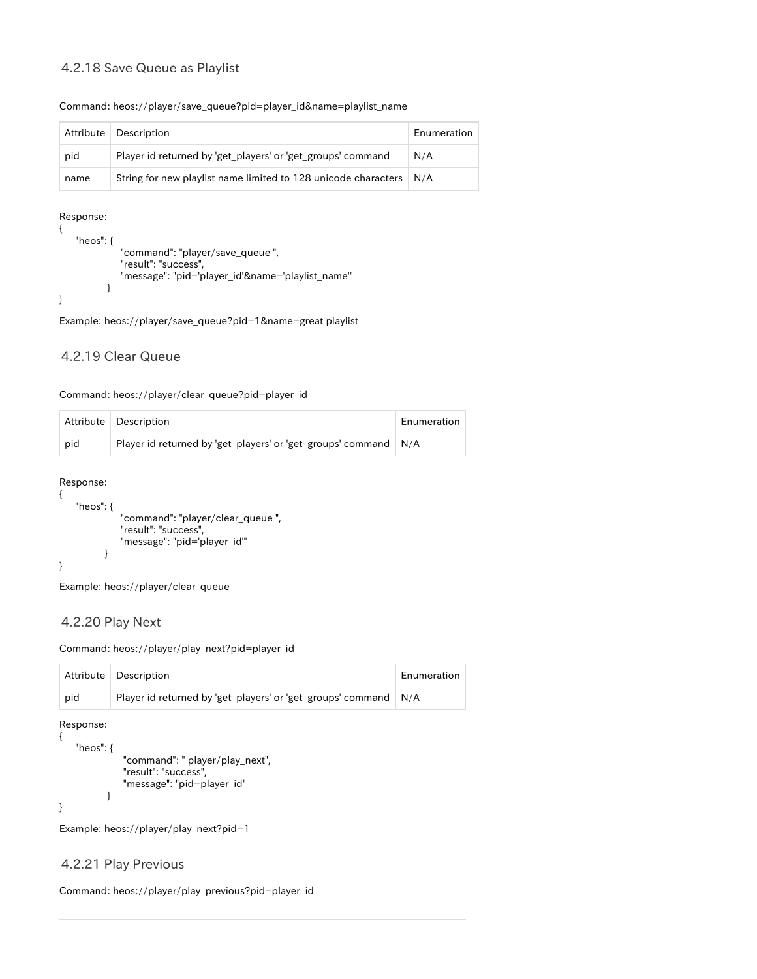#### 4.2.18 Save Queue as Playlist

#### Command: heos://player/save\_queue?pid=player\_id&name=playlist\_name

| Attribute | Description                                                    | Enumeration |
|-----------|----------------------------------------------------------------|-------------|
| pid       | Player id returned by 'get_players' or 'get_groups' command    | N/A         |
| name      | String for new playlist name limited to 128 unicode characters | N/A         |

#### Response:

```
{
     "heos": {
               "command": "player/save_queue ",
               "result": "success",
               "message": "pid='player_id'&name='playlist_name'"
           }
}
```
Example: heos://player/save\_queue?pid=1&name=great playlist

#### <span id="page-15-0"></span>4.2.19 Clear Queue

#### Command: heos://player/clear\_queue?pid=player\_id

|     | Attribute   Description                                         | Enumeration |
|-----|-----------------------------------------------------------------|-------------|
| pid | Player id returned by 'get_players' or 'get_groups' command N/A |             |

Response:

```
{
     "heos": {
                "command": "player/clear_queue ",
               "result": "success",
                "message": "pid='player_id'"
            }
}
```
Example: heos://player/clear\_queue

#### <span id="page-15-1"></span>4.2.20 Play Next

Command: heos://player/play\_next?pid=player\_id

|     | Attribute   Description                                           | Enumeration |
|-----|-------------------------------------------------------------------|-------------|
| pid | Player id returned by 'get_players' or 'get_groups' command   N/A |             |

Response:

```
 "heos": {
            "command": " player/play_next",
            "result": "success",
            "message": "pid=player_id"
        }
```
}

{

Example: heos://player/play\_next?pid=1

#### <span id="page-15-2"></span>4.2.21 Play Previous

Command: heos://player/play\_previous?pid=player\_id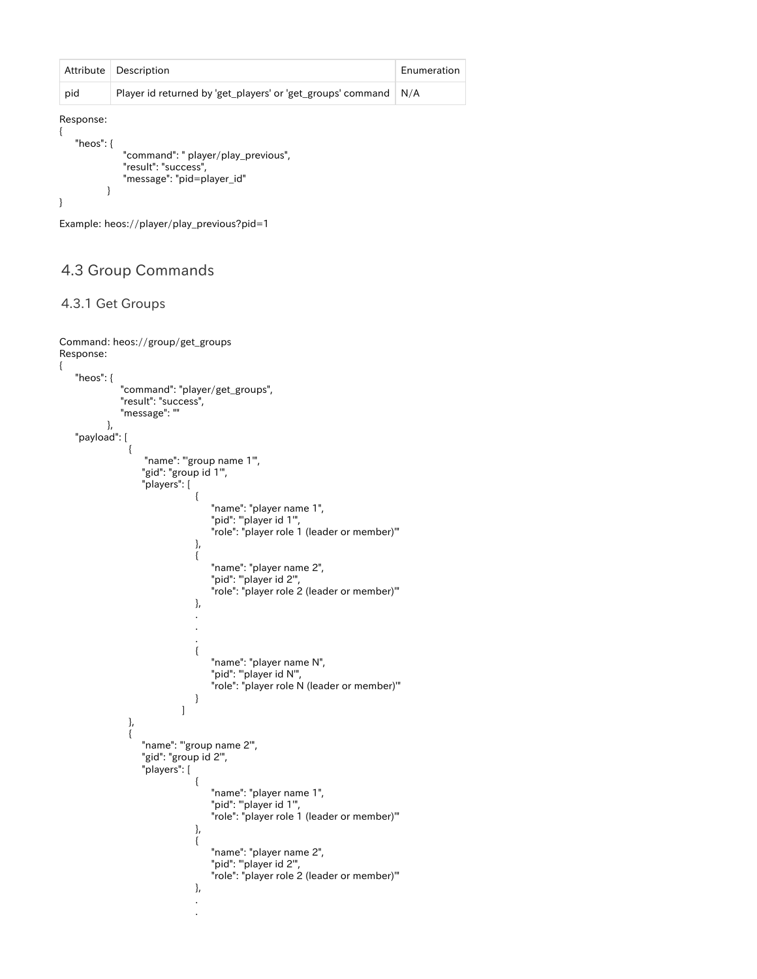| Attribute                 | Description                                                                               | Enumeration |
|---------------------------|-------------------------------------------------------------------------------------------|-------------|
| pid                       | Player id returned by 'get_players' or 'get_groups' command                               | N/A         |
| Response:<br>"heos": $\{$ | "command": " player/play_previous",<br>"result": "success",<br>"message": "pid=player_id" |             |

```
Example: heos://player/play_previous?pid=1
```
### <span id="page-16-0"></span>4.3 Group Commands

#### <span id="page-16-1"></span>4.3.1 Get Groups

{

```
Command: heos://group/get_groups 
Response:
      "heos": {
                    "command": "player/get_groups",
                   "result": "success",
                    "message": ""
               },
      "payload": [
\left\{ \begin{array}{c} 1 & 1 \\ 1 & 1 \end{array} \right\} "name": "'group name 1'",
                          "gid": "group id 1'",
                          "players": [
{
                                                "name": "player name 1",
                                                "pid": "'player id 1'",
                                                "role": "player role 1 (leader or member)'"
\}, \{, \}, \{, \}, \{, \}, \{, \}, \{, \}, \{, \}, \{, \}, \{, \}, \{, \}, \{, \}, \{, \}, \{, \}, \{, \}, \{, \}, \{, \}, \{, \}, \{, \}, \{, \},
{
                                                "name": "player name 2",
                                                "pid": "'player id 2'",
                                                "role": "player role 2 (leader or member)'"
\}, \{, \}, \{, \}, \{, \}, \{, \}, \{, \}, \{, \}, \{, \}, \{, \}, \{, \}, \{, \}, \{, \}, \{, \}, \{, \}, \{, \}, \{, \}, \{, \}, \{, \}, \{, \},
 .
 .
 .
\{ "name": "player name N",
                                               "pid": ""player id N",
                                                "role": "player role N (leader or member)'"
}<br>}<br>}
[1] The Company of the Company of the Company of the Company of the Company of the Company of the Company of the Company of the Company of the Company of the Company of the Company of the Company of the Company of the Comp
                     },
\left\{ \begin{array}{c} 1 & 1 \\ 1 & 1 \end{array} \right\}"name": "'group name 2"',
                          "gid": "group id 2'",
                          "players": [
\{ "name": "player name 1",
                                               "pid": "player id 1",
                                                "role": "player role 1 (leader or member)'"
\}, \{, \}, \{, \}, \{, \}, \{, \}, \{, \}, \{, \}, \{, \}, \{, \}, \{, \}, \{, \}, \{, \}, \{, \}, \{, \}, \{, \}, \{, \}, \{, \}, \{, \}, \{, \},
\{ "name": "player name 2",
                                               "pid": "player id 2",
                                                "role": "player role 2 (leader or member)'"
\}, \{, \}, \{, \}, \{, \}, \{, \}, \{, \}, \{, \}, \{, \}, \{, \}, \{, \}, \{, \}, \{, \}, \{, \}, \{, \}, \{, \}, \{, \}, \{, \}, \{, \}, \{, \},
 .
 .
```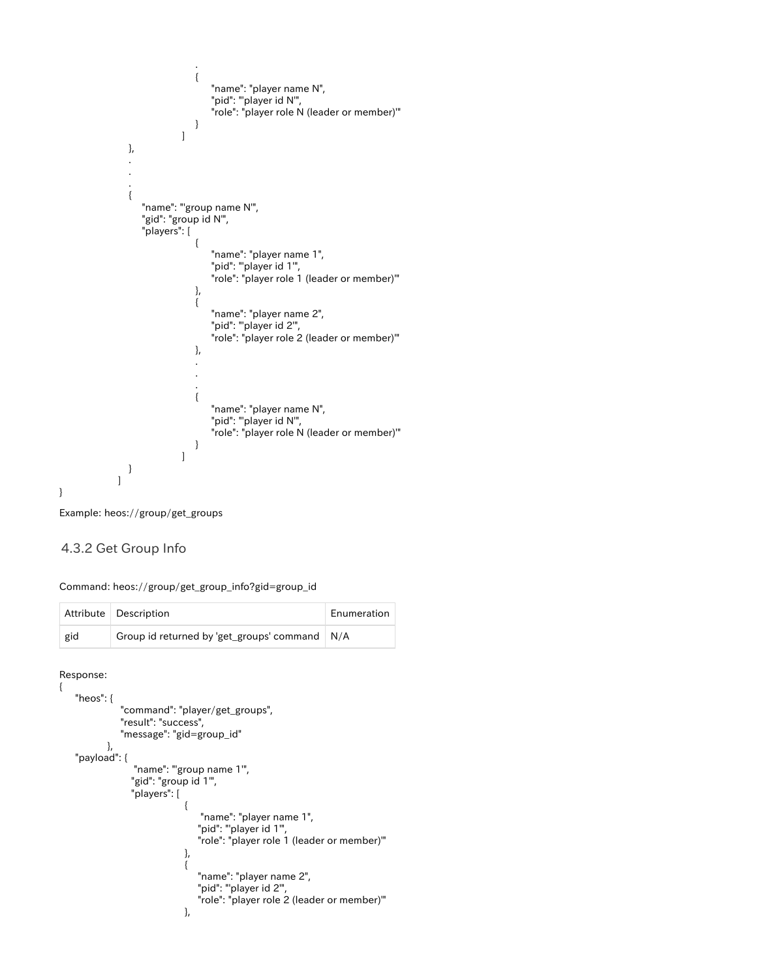```
 .
\{ "name": "player name N",
                                "pid": ""player id N",
                                 "role": "player role N (leader or member)'"
}<br>}<br>}
[1] The Company of the Company of the Company of the Company of the Company of the Company of the Company of the Company of the Company of the Company of the Company of the Company of the Company of the Company of the Comp
               },
 .
 .
 .
\left\{ \begin{array}{c} 1 & 1 \\ 1 & 1 \end{array} \right\} "name": "'group name N'",
                  "gid": "group id N'",
                  "players": [
{
 "name": "player name 1",
 "pid": "'player id 1'",
 "role": "player role 1 (leader or member)'"
\}, \{, \}, \{, \}, \{, \}, \{, \}, \{, \}, \{, \}, \{, \}, \{, \}, \{, \}, \{, \}, \{, \}, \{, \}, \{, \}, \{, \}, \{, \}, \{, \}, \{, \}, \{, \},
{
 "name": "player name 2",
 "pid": "'player id 2'",
 "role": "player role 2 (leader or member)'"
\}, \{, \}, \{, \}, \{, \}, \{, \}, \{, \}, \{, \}, \{, \}, \{, \}, \{, \}, \{, \}, \{, \}, \{, \}, \{, \}, \{, \}, \{, \}, \{, \}, \{, \}, \{, \},
 .
 .
 .
{
                                 "name": "player name N",
                                "pid": ""player id N",
                                 "role": "player role N (leader or member)'"
 }
 ]
               }
            ]
```
Example: heos://group/get\_groups

#### <span id="page-17-0"></span>4.3.2 Get Group Info

Command: heos://group/get\_group\_info?gid=group\_id

|     | Attribute   Description                         | Enumeration |
|-----|-------------------------------------------------|-------------|
| gid | Group id returned by 'get_groups' command   N/A |             |

Response: {

}

```
 "heos": {
                  "command": "player/get_groups",
                  "result": "success",
                  "message": "gid=group_id"
             },
     "payload": {
                     "name": "'group name 1'",
                     "gid": "group id 1'",
                     "players": [
{ } "name": "player name 1",
 "pid": "'player id 1'",
 "role": "player role 1 (leader or member)'"
\}, \{, \}, \{, \}, \{, \}, \{, \}, \{, \}, \{, \}, \{, \}, \{, \}, \{, \}, \{, \}, \{, \}, \{, \}, \{, \}, \{, \}, \{, \}, \{, \}, \{, \}, \{, \},
{ } "name": "player name 2",
                                        "pid": "'player id 2'",
                                        "role": "player role 2 (leader or member)'"
\}, \{, \}, \{, \}, \{, \}, \{, \}, \{, \}, \{, \}, \{, \}, \{, \}, \{, \}, \{, \}, \{, \}, \{, \}, \{, \}, \{, \}, \{, \}, \{, \}, \{, \}, \{, \},
```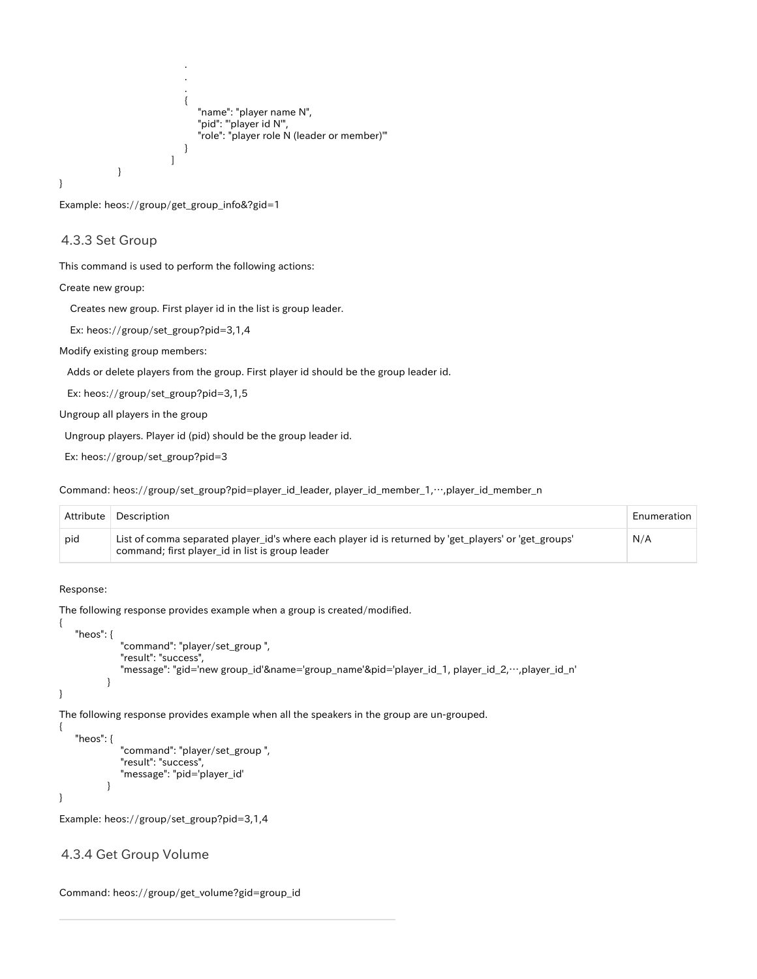```
 .
 .
 .
\{ "name": "player name N",
 "pid": "'player id N'",
 "role": "player role N (leader or member)'"
 }
 ]
     }
}
```
Example: heos://group/get\_group\_info&?gid=1

#### <span id="page-18-0"></span>4.3.3 Set Group

This command is used to perform the following actions:

Create new group:

Creates new group. First player id in the list is group leader.

Ex: heos://group/set\_group?pid=3,1,4

Modify existing group members:

Adds or delete players from the group. First player id should be the group leader id.

Ex: heos://group/set\_group?pid=3,1,5

Ungroup all players in the group

Ungroup players. Player id (pid) should be the group leader id.

Ex: heos://group/set\_group?pid=3

Command: heos://group/set\_group?pid=player\_id\_leader, player\_id\_member\_1,…,player\_id\_member\_n

| Attribute | Description                                                                                                                                               | Enumeration |
|-----------|-----------------------------------------------------------------------------------------------------------------------------------------------------------|-------------|
| pid       | List of comma separated player_id's where each player id is returned by 'get_players' or 'get_groups'<br>command; first player_id in list is group leader | N/A         |

Response:

{

}

{

}

The following response provides example when a group is created/modified.

```
 "heos": {
           "command": "player/set_group ",
           "result": "success",
           "message": "gid='new group_id'&name='group_name'&pid='player_id_1, player_id_2,…,player_id_n'
       }
```
The following response provides example when all the speakers in the group are un-grouped.

```
 "heos": {
           "command": "player/set_group ",
           "result": "success",
           "message": "pid='player_id'
        }
```
Example: heos://group/set\_group?pid=3,1,4

#### <span id="page-18-1"></span>4.3.4 Get Group Volume

```
Command: heos://group/get_volume?gid=group_id
```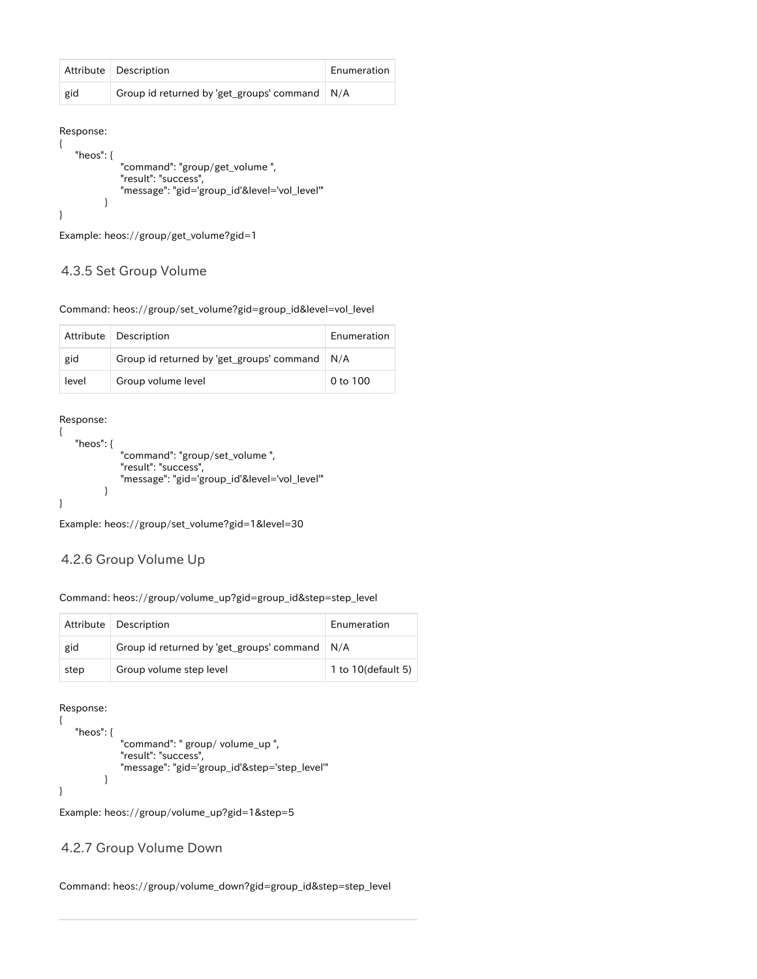|     | Attribute   Description                         | Enumeration |
|-----|-------------------------------------------------|-------------|
| gid | Group id returned by 'get_groups' command   N/A |             |

Response: {

}

```
 "heos": {
           "command": "group/get_volume ",
           "result": "success",
           "message": "gid='group_id'&level='vol_level'"
       }
```
Example: heos://group/get\_volume?gid=1

#### <span id="page-19-0"></span>4.3.5 Set Group Volume

Command: heos://group/set\_volume?gid=group\_id&level=vol\_level

|       | Attribute   Description                         | Enumeration |
|-------|-------------------------------------------------|-------------|
| gid   | Group id returned by 'get_groups' command   N/A |             |
| level | Group volume level                              | 0 to 100    |

Response:

```
{
    "heos": {
               "command": "group/set_volume ",
               "result": "success",
               "message": "gid='group_id'&level='vol_level'"
           }
}
```
Example: heos://group/set\_volume?gid=1&level=30

#### <span id="page-19-1"></span>4.2.6 Group Volume Up

Command: heos://group/volume\_up?gid=group\_id&step=step\_level

|      | Attribute   Description                              | Enumeration        |
|------|------------------------------------------------------|--------------------|
| gid  | Group id returned by 'get_groups' command $\mid N/A$ |                    |
| step | Group volume step level                              | 1 to 10(default 5) |

Response:

```
{
    "heos": {
               "command": " group/ volume_up ",
               "result": "success",
               "message": "gid='group_id'&step='step_level'"
           }
}
```
Example: heos://group/volume\_up?gid=1&step=5

#### <span id="page-19-2"></span>4.2.7 Group Volume Down

Command: heos://group/volume\_down?gid=group\_id&step=step\_level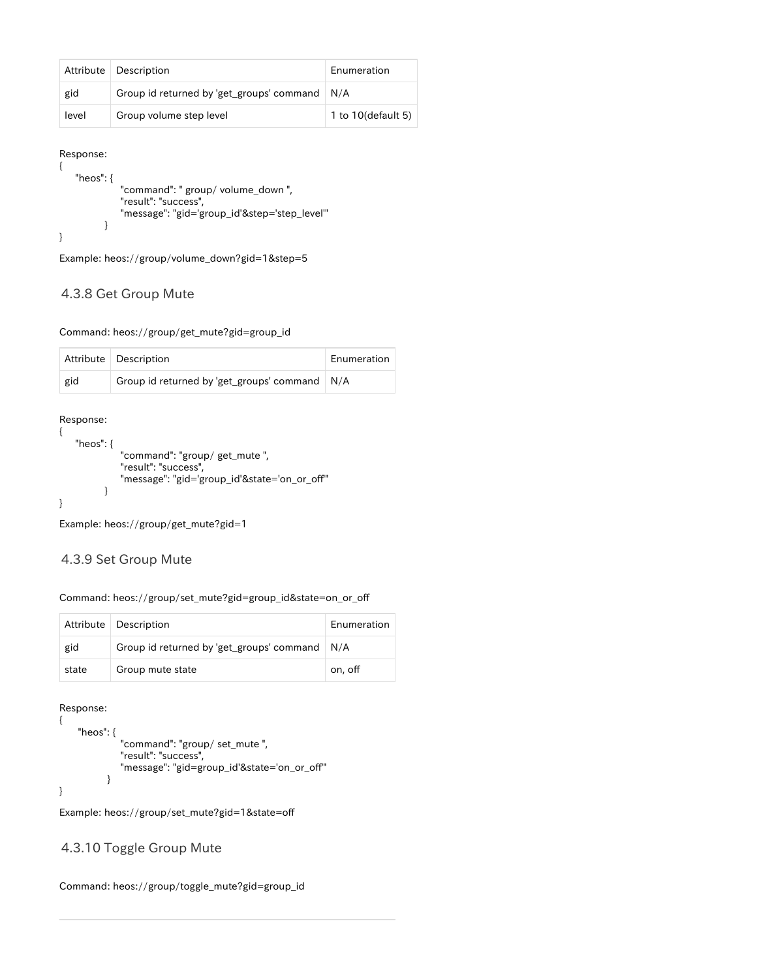|       | Attribute   Description                         | Enumeration        |
|-------|-------------------------------------------------|--------------------|
| gid   | Group id returned by 'get_groups' command   N/A |                    |
| level | Group volume step level                         | 1 to 10(default 5) |

Response:

```
{
    "heos": {
 "command": " group/ volume_down ",
 "result": "success",
            "message": "gid='group_id'&step='step_level'"
         }
}
```
Example: heos://group/volume\_down?gid=1&step=5

#### <span id="page-20-0"></span>4.3.8 Get Group Mute

Command: heos://group/get\_mute?gid=group\_id

|     | Attribute   Description                         | Enumeration |
|-----|-------------------------------------------------|-------------|
| gid | Group id returned by 'get_groups' command   N/A |             |

Response:

```
{
    "heos": {
               "command": "group/ get_mute ",
               "result": "success",
               "message": "gid='group_id'&state='on_or_off'"
           }
}
```
Example: heos://group/get\_mute?gid=1

#### <span id="page-20-1"></span>4.3.9 Set Group Mute

Command: heos://group/set\_mute?gid=group\_id&state=on\_or\_off

|       | Attribute   Description                         | Enumeration |
|-------|-------------------------------------------------|-------------|
| gid   | Group id returned by 'get_groups' command   N/A |             |
| state | Group mute state                                | on, off     |

Response:

```
{
     "heos": {
               "command": "group/ set_mute ",
               "result": "success",
               "message": "gid=group_id'&state='on_or_off'"
            }
}
```
Example: heos://group/set\_mute?gid=1&state=off

#### <span id="page-20-2"></span>4.3.10 Toggle Group Mute

Command: heos://group/toggle\_mute?gid=group\_id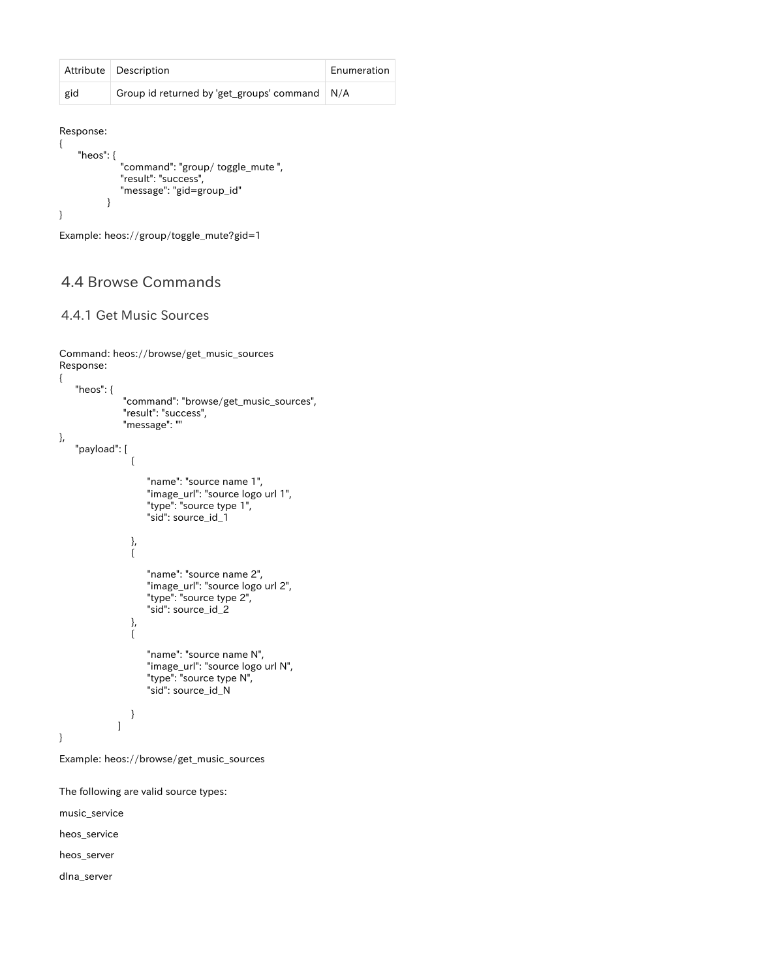|     | Attribute   Description                         | Enumeration |
|-----|-------------------------------------------------|-------------|
| gid | Group id returned by 'get_groups' command   N/A |             |

Response: {

```
 "heos": {
           "command": "group/ toggle_mute ",
          "result": "success",
          "message": "gid=group_id"
       }
```
}

Example: heos://group/toggle\_mute?gid=1

### <span id="page-21-0"></span>4.4 Browse Commands

#### <span id="page-21-1"></span>4.4.1 Get Music Sources

```
Command: heos://browse/get_music_sources 
Response:
{
       "heos": {
                       "command": "browse/get_music_sources",
                       "result": "success",
                       "message": ""
},
      "payload": [
\left\{ \begin{array}{c} 1 & 1 \\ 1 & 1 \end{array} \right\} "name": "source name 1",
                                "image_url": "source logo url 1",
                                "type": "source type 1",
                                "sid": source_id_1
                         },
\left\{ \begin{array}{ccc} 1 & 0 & 0 \\ 0 & 0 & 0 \\ 0 & 0 & 0 \\ 0 & 0 & 0 \\ 0 & 0 & 0 \\ 0 & 0 & 0 \\ 0 & 0 & 0 \\ 0 & 0 & 0 \\ 0 & 0 & 0 \\ 0 & 0 & 0 \\ 0 & 0 & 0 \\ 0 & 0 & 0 \\ 0 & 0 & 0 \\ 0 & 0 & 0 & 0 \\ 0 & 0 & 0 & 0 \\ 0 & 0 & 0 & 0 \\ 0 & 0 & 0 & 0 & 0 \\ 0 & 0 & 0 & 0 & 0 \\ 0 & 0 & 0 & 0 & 0 \\ 0 & 0 & 0 & 0 "name": "source name 2",
                                "image_url": "source logo url 2",
                                "type": "source type 2",
                                "sid": source_id_2 
                         },
\left\{ \begin{array}{c} 1 & 1 \\ 1 & 1 \end{array} \right\} "name": "source name N",
                                "image_url": "source logo url N",
 "type": "source type N",
 "sid": source_id_N
                         }
                     ]
}
Example: heos://browse/get_music_sources
The following are valid source types:
```
music\_service heos\_service

heos\_server

<span id="page-21-2"></span>dlna\_server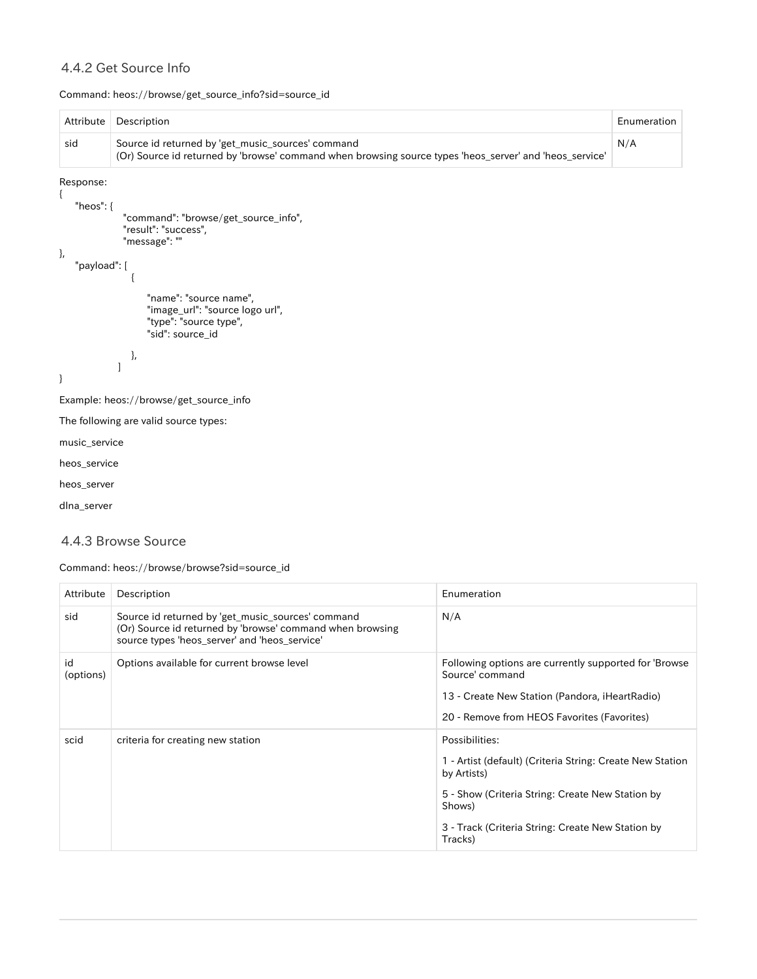### 4.4.2 Get Source Info

Command: heos://browse/get\_source\_info?sid=source\_id

| Attribute                                                                                                                                                           | Description                                                                                             | Enumeration |  |
|---------------------------------------------------------------------------------------------------------------------------------------------------------------------|---------------------------------------------------------------------------------------------------------|-------------|--|
| Source id returned by 'get_music_sources' command<br>sid<br>(Or) Source id returned by 'browse' command when browsing source types 'heos_server' and 'heos_service' |                                                                                                         | N/A         |  |
| Response:                                                                                                                                                           |                                                                                                         |             |  |
| "heos": {                                                                                                                                                           | "command": "browse/get_source_info",<br>"result": "success",<br>"message": ""                           |             |  |
| $\}$ ,<br>"payload": [                                                                                                                                              |                                                                                                         |             |  |
|                                                                                                                                                                     |                                                                                                         |             |  |
|                                                                                                                                                                     | "name": "source name",<br>"image_url": "source logo url",<br>"type": "source type",<br>"sid": source_id |             |  |
|                                                                                                                                                                     | },                                                                                                      |             |  |
| $\}$                                                                                                                                                                |                                                                                                         |             |  |
|                                                                                                                                                                     | Example: heos://browse/get_source_info                                                                  |             |  |
|                                                                                                                                                                     | The following are valid source types:                                                                   |             |  |
| music_service                                                                                                                                                       |                                                                                                         |             |  |
| heos_service                                                                                                                                                        |                                                                                                         |             |  |
| heos_server                                                                                                                                                         |                                                                                                         |             |  |
| dlna_server                                                                                                                                                         |                                                                                                         |             |  |
|                                                                                                                                                                     |                                                                                                         |             |  |

### <span id="page-22-0"></span>4.4.3 Browse Source

Command: heos://browse/browse?sid=source\_id

| Attribute       | Description                                                                                                                                                     | Enumeration                                                                                                                                                                                                              |
|-----------------|-----------------------------------------------------------------------------------------------------------------------------------------------------------------|--------------------------------------------------------------------------------------------------------------------------------------------------------------------------------------------------------------------------|
| sid             | Source id returned by 'get_music_sources' command<br>(Or) Source id returned by 'browse' command when browsing<br>source types 'heos server' and 'heos service' | N/A                                                                                                                                                                                                                      |
| id<br>(options) | Options available for current browse level                                                                                                                      | Following options are currently supported for 'Browse<br>Source' command<br>13 - Create New Station (Pandora, iHeartRadio)<br>20 - Remove from HEOS Favorites (Favorites)                                                |
| scid            | criteria for creating new station                                                                                                                               | Possibilities:<br>1 - Artist (default) (Criteria String: Create New Station<br>by Artists)<br>5 - Show (Criteria String: Create New Station by<br>Shows)<br>3 - Track (Criteria String: Create New Station by<br>Tracks) |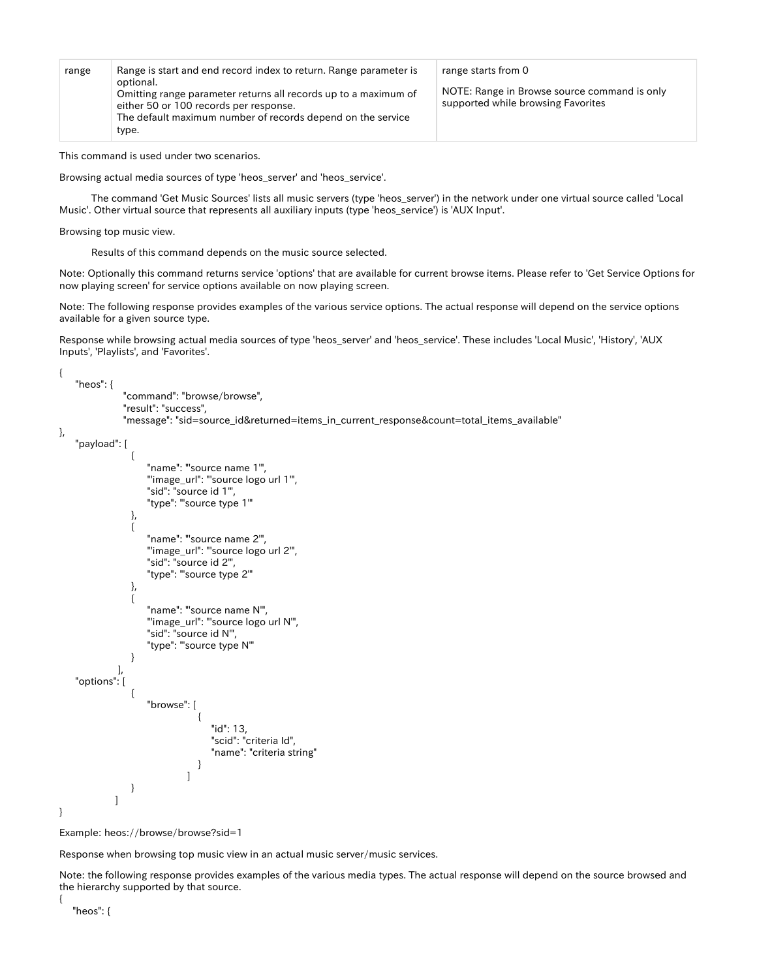| range | Range is start and end record index to return. Range parameter is                                                      | range starts from 0                                                                |
|-------|------------------------------------------------------------------------------------------------------------------------|------------------------------------------------------------------------------------|
|       | optional.<br>Omitting range parameter returns all records up to a maximum of<br>either 50 or 100 records per response. | NOTE: Range in Browse source command is only<br>supported while browsing Favorites |
|       | The default maximum number of records depend on the service                                                            |                                                                                    |
|       | type.                                                                                                                  |                                                                                    |

This command is used under two scenarios.

Browsing actual media sources of type 'heos\_server' and 'heos\_service'.

 The command 'Get Music Sources' lists all music servers (type 'heos\_server') in the network under one virtual source called 'Local Music'. Other virtual source that represents all auxiliary inputs (type 'heos\_service') is 'AUX Input'.

Browsing top music view.

Results of this command depends on the music source selected.

Note: Optionally this command returns service 'options' that are available for current browse items. Please refer to 'Get Service Options for now playing screen' for service options available on now playing screen.

Note: The following response provides examples of the various service options. The actual response will depend on the service options available for a given source type.

Response while browsing actual media sources of type 'heos server' and 'heos service'. These includes 'Local Music', 'History', 'AUX Inputs', 'Playlists', and 'Favorites'.

{ "heos": {

```
 "command": "browse/browse",
                                       "result": "success",
                                      "message": "sid=source_id&returned=items_in_current_response&count=total_items_available"
},
           "payload": [
 \left\{ \begin{array}{ccc} 1 & 0 & 0 \\ 0 & 0 & 0 \\ 0 & 0 & 0 \\ 0 & 0 & 0 \\ 0 & 0 & 0 \\ 0 & 0 & 0 \\ 0 & 0 & 0 \\ 0 & 0 & 0 \\ 0 & 0 & 0 \\ 0 & 0 & 0 \\ 0 & 0 & 0 \\ 0 & 0 & 0 \\ 0 & 0 & 0 \\ 0 & 0 & 0 & 0 \\ 0 & 0 & 0 & 0 \\ 0 & 0 & 0 & 0 \\ 0 & 0 & 0 & 0 & 0 \\ 0 & 0 & 0 & 0 & 0 \\ 0 & 0 & 0 & 0 & 0 \\ 0 & 0 & 0 & 0 "name": "'source name 1'",
                                                     "'image_url": "'source logo url 1'",
                                                     "sid": "source id 1'",
                                                     "type": "'source type 1'"
 \}, \{, \}, \{, \}, \{, \}, \{, \}, \{, \}, \{, \}, \{, \}, \{, \}, \{, \}, \{, \}, \{, \}, \{, \}, \{, \}, \{, \}, \{, \}, \{, \}, \{, \}, \{, \},
 \left\{ \begin{array}{c} 1 & 1 \\ 1 & 1 \end{array} \right\} "name": "'source name 2'",
                                                     "'image_url": "'source logo url 2'",
                                                     "sid": "source id 2'",
                                                     "type": "'source type 2'"
                                           },
 \left\{ \begin{array}{ccc} 1 & 0 & 0 \\ 0 & 0 & 0 \\ 0 & 0 & 0 \\ 0 & 0 & 0 \\ 0 & 0 & 0 \\ 0 & 0 & 0 \\ 0 & 0 & 0 \\ 0 & 0 & 0 \\ 0 & 0 & 0 \\ 0 & 0 & 0 \\ 0 & 0 & 0 \\ 0 & 0 & 0 \\ 0 & 0 & 0 \\ 0 & 0 & 0 & 0 \\ 0 & 0 & 0 & 0 \\ 0 & 0 & 0 & 0 \\ 0 & 0 & 0 & 0 & 0 \\ 0 & 0 & 0 & 0 & 0 \\ 0 & 0 & 0 & 0 & 0 \\ 0 & 0 & 0 & 0 "name": "'source name N'",
                                                     "'image_url": "'source logo url N'",
                                                     "sid": "source id N'",
                                                      "type": "'source type N'"
  }
                                   ],
           "options": [
 \left\{ \begin{array}{ccc} 1 & 0 & 0 \\ 0 & 0 & 0 \\ 0 & 0 & 0 \\ 0 & 0 & 0 \\ 0 & 0 & 0 \\ 0 & 0 & 0 \\ 0 & 0 & 0 \\ 0 & 0 & 0 \\ 0 & 0 & 0 \\ 0 & 0 & 0 \\ 0 & 0 & 0 \\ 0 & 0 & 0 \\ 0 & 0 & 0 \\ 0 & 0 & 0 & 0 \\ 0 & 0 & 0 & 0 \\ 0 & 0 & 0 & 0 \\ 0 & 0 & 0 & 0 & 0 \\ 0 & 0 & 0 & 0 & 0 \\ 0 & 0 & 0 & 0 & 0 \\ 0 & 0 & 0 & 0 "browse": [
 \{ "id": 13,
                                                                                          "scid": "criteria Id",
                                                                                          "name": "criteria string"
  }
 [1] The Company of the Company of the Company of the Company of the Company of the Company of the Company of the Company of the Company of the Company of the Company of the Company of the Company of the Company of the Comp
  }
                                 ]
}
```
Example: heos://browse/browse?sid=1

Response when browsing top music view in an actual music server/music services.

Note: the following response provides examples of the various media types. The actual response will depend on the source browsed and the hierarchy supported by that source.

"heos": {

{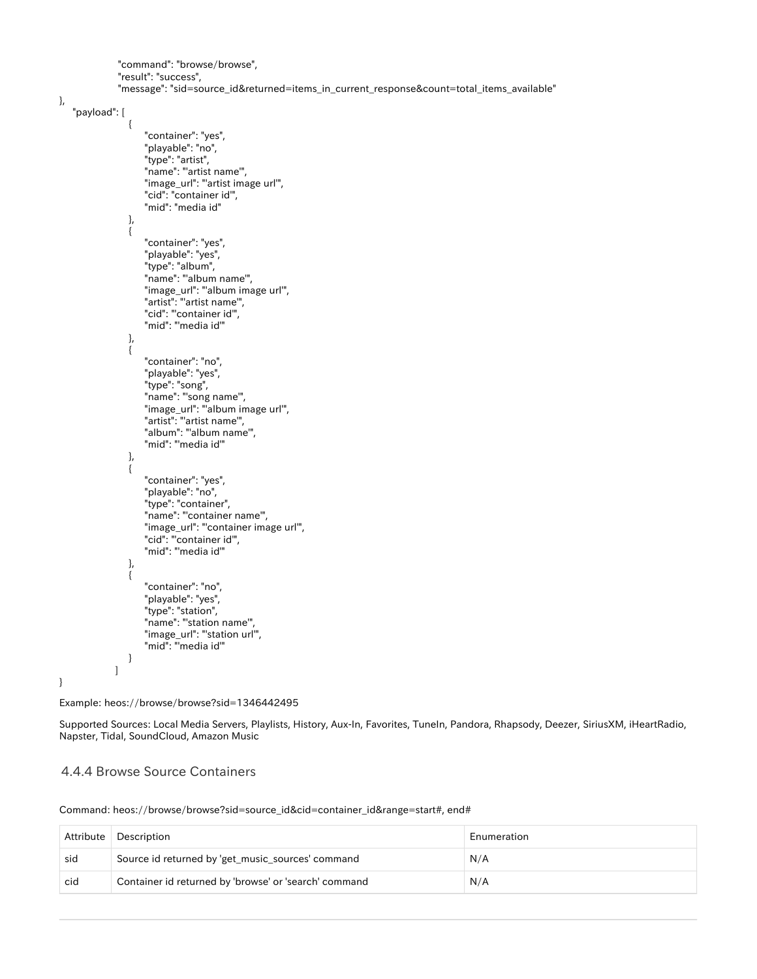"command": "browse/browse", "result": "success", "message": "sid=source\_id&returned=items\_in\_current\_response&count=total\_items\_available"

},

```
 "payload": [
\left\{ \begin{array}{c} 1 & 1 \\ 1 & 1 \end{array} \right\} "container": "yes",
 "playable": "no",
                       "type": "artist",
                      "name": "artist name",
                       "image_url": "'artist image url'",
 "cid": "container id'",
 "mid": "media id"
                  },
\left\{ \begin{array}{c} 1 & 1 \\ 1 & 1 \end{array} \right\} "container": "yes",
                       "playable": "yes",
                       "type": "album",
                       "name": "'album name'",
                       "image_url": "'album image url'",
                       "artist": "'artist name'",
 "cid": "'container id'",
 "mid": "'media id'"
                  },
\left\{ \begin{array}{c} 1 & 1 \\ 1 & 1 \end{array} \right\} "container": "no",
                       "playable": "yes",
                       "type": "song",
                       "name": "'song name'",
                       "image_url": "'album image url'",
                       "artist": "'artist name'",
                       "album": "'album name'",
                       "mid": "'media id'"
                  },
\left\{ \begin{array}{c} 1 & 1 \\ 1 & 1 \end{array} \right\} "container": "yes",
                       "playable": "no",
                       "type": "container",
                       "name": "'container name'",
                       "image_url": "'container image url'",
                       "cid": "'container id'",
                       "mid": "'media id'"
                  },
\left\{ \begin{array}{c} 1 & 1 \\ 1 & 1 \end{array} \right\} "container": "no",
                       "playable": "yes",
                       "type": "station",
                       "name": "'station name'",
                       "image_url": "'station url'",
                      "mid": "media id"
 }
               ]
```
Example: heos://browse/browse?sid=1346442495

Supported Sources: Local Media Servers, Playlists, History, Aux-In, Favorites, TuneIn, Pandora, Rhapsody, Deezer, SiriusXM, iHeartRadio, Napster, Tidal, SoundCloud, Amazon Music

#### <span id="page-24-0"></span>4.4.4 Browse Source Containers

}

Command: heos://browse/browse?sid=source\_id&cid=container\_id&range=start#, end#

| Attribute | Description                                           | Enumeration |
|-----------|-------------------------------------------------------|-------------|
| sid       | Source id returned by 'get_music_sources' command     | N/A         |
| cid       | Container id returned by 'browse' or 'search' command | N/A         |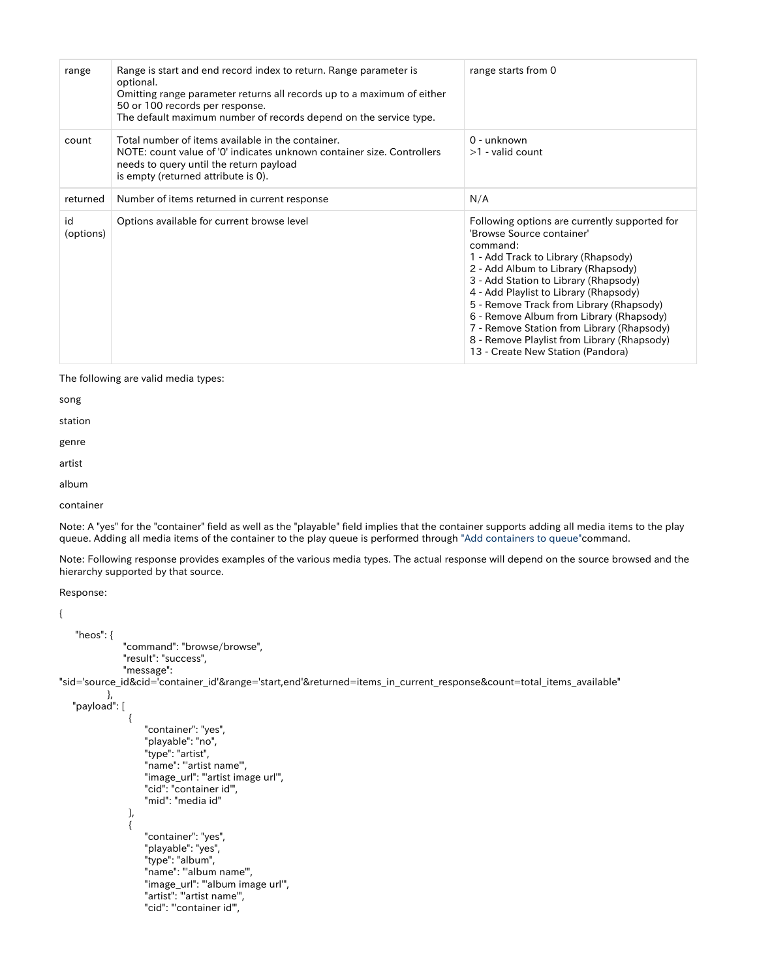| range           | Range is start and end record index to return. Range parameter is<br>optional.<br>Omitting range parameter returns all records up to a maximum of either<br>50 or 100 records per response.<br>The default maximum number of records depend on the service type. | range starts from 0                                                                                                                                                                                                                                                                                                                                                                                                                                                               |
|-----------------|------------------------------------------------------------------------------------------------------------------------------------------------------------------------------------------------------------------------------------------------------------------|-----------------------------------------------------------------------------------------------------------------------------------------------------------------------------------------------------------------------------------------------------------------------------------------------------------------------------------------------------------------------------------------------------------------------------------------------------------------------------------|
| count           | Total number of items available in the container.<br>NOTE: count value of '0' indicates unknown container size. Controllers<br>needs to query until the return payload<br>is empty (returned attribute is 0).                                                    | 0 - unknown<br>$>1$ - valid count                                                                                                                                                                                                                                                                                                                                                                                                                                                 |
| returned        | Number of items returned in current response                                                                                                                                                                                                                     | N/A                                                                                                                                                                                                                                                                                                                                                                                                                                                                               |
| id<br>(options) | Options available for current browse level                                                                                                                                                                                                                       | Following options are currently supported for<br>'Browse Source container'<br>command:<br>1 - Add Track to Library (Rhapsody)<br>2 - Add Album to Library (Rhapsody)<br>3 - Add Station to Library (Rhapsody)<br>4 - Add Playlist to Library (Rhapsody)<br>5 - Remove Track from Library (Rhapsody)<br>6 - Remove Album from Library (Rhapsody)<br>7 - Remove Station from Library (Rhapsody)<br>8 - Remove Playlist from Library (Rhapsody)<br>13 - Create New Station (Pandora) |

The following are valid media types:

song

station

genre

artist

album

container

Note: A "yes" for the "container" field as well as the "playable" field implies that the container supports adding all media items to the play queue. Adding all media items of the container to the play queue is performed through ["Add containers to queue"c](https://dm-atlassian.rickcloud.jp/wiki/display/prod/Add+Container+to+Queue+with+Options)ommand.

Note: Following response provides examples of the various media types. The actual response will depend on the source browsed and the hierarchy supported by that source.

Response:

```
{
     "heos": {
                  "command": "browse/browse",
                  "result": "success",
                  "message":
"sid='source_id&cid='container_id'&range='start,end'&returned=items_in_current_response&count=total_items_available"
             },
     "payload": [
\left\{ \begin{array}{c} 1 & 1 \\ 1 & 1 \end{array} \right\} "container": "yes",
                        "playable": "no",
                        "type": "artist",
                        "name": "'artist name'",
                        "image_url": "'artist image url'",
                        "cid": "container id'",
                        "mid": "media id"
                   },
\left\{ \begin{array}{c} 1 & 1 \\ 1 & 1 \end{array} \right\} "container": "yes",
                        "playable": "yes",
                        "type": "album",
                        "name": "'album name'",
                        "image_url": "'album image url'",
                        "artist": "'artist name'",
                        "cid": "'container id'",
```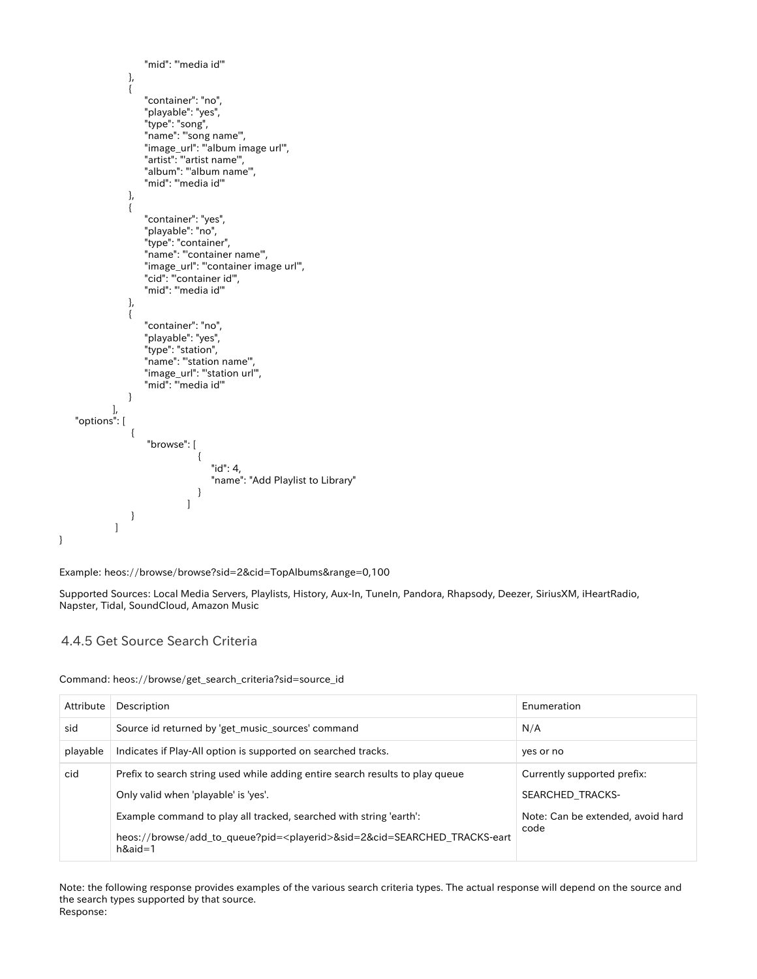```
 "mid": "'media id'"
                            },
\left\{ \begin{array}{c} 1 & 1 \\ 1 & 1 \end{array} \right\} "container": "no",
                                   "playable": "yes",
                                   "type": "song",
                                   "name": "'song name'",
                                   "image_url": "'album image url'",
                                   "artist": "'artist name'",
                                   "album": "'album name'",
                                   "mid": "'media id'"
                            },
\left\{ \begin{array}{ccc} 1 & 1 & 1 \\ 1 & 1 & 1 \end{array} \right\} "container": "yes",
                                   "playable": "no",
                                   "type": "container",
                                   "name": "'container name'",
                                   "image_url": "'container image url'",
                                   "cid": "'container id'",
                                   "mid": "'media id'"
                            },
\left\{ \begin{array}{ccc} 1 & 1 & 1 \\ 1 & 1 & 1 \end{array} \right\} "container": "no",
                                   "playable": "yes",
                                   "type": "station",
                                   "name": "'station name'",
 "image_url": "'station url'",
 "mid": "'media id'"
 }
\qquad \qquad "options": [
\left\{ \begin{array}{ccc} 1 & 0 & 0 \\ 0 & 0 & 0 \\ 0 & 0 & 0 \\ 0 & 0 & 0 \\ 0 & 0 & 0 \\ 0 & 0 & 0 \\ 0 & 0 & 0 \\ 0 & 0 & 0 \\ 0 & 0 & 0 \\ 0 & 0 & 0 \\ 0 & 0 & 0 \\ 0 & 0 & 0 \\ 0 & 0 & 0 \\ 0 & 0 & 0 & 0 \\ 0 & 0 & 0 & 0 \\ 0 & 0 & 0 & 0 \\ 0 & 0 & 0 & 0 & 0 \\ 0 & 0 & 0 & 0 & 0 \\ 0 & 0 & 0 & 0 & 0 \\ 0 & 0 & 0 & 0 "browse": [
\left\{ \begin{array}{c} 1 & 1 \\ 1 & 1 \end{array} \right\} "id": 4,
                                                               "name": "Add Playlist to Library"
 }
[1] The Company of the Company of the Company of the Company of the Company of the Company of the Company of the Company of the Company of the Company of the Company of the Company of the Company of the Company of the Comp
                             }
                      ]
```
Example: heos://browse/browse?sid=2&cid=TopAlbums&range=0,100

Supported Sources: Local Media Servers, Playlists, History, Aux-In, TuneIn, Pandora, Rhapsody, Deezer, SiriusXM, iHeartRadio, Napster, Tidal, SoundCloud, Amazon Music

#### <span id="page-26-0"></span>4.4.5 Get Source Search Criteria

}

Command: heos://browse/get\_search\_criteria?sid=source\_id

| Attribute | Description                                                                                                                | Enumeration                       |
|-----------|----------------------------------------------------------------------------------------------------------------------------|-----------------------------------|
| sid       | Source id returned by 'get music sources' command                                                                          | N/A                               |
| playable  | Indicates if Play-All option is supported on searched tracks.                                                              | yes or no                         |
| cid       | Prefix to search string used while adding entire search results to play queue                                              | Currently supported prefix:       |
|           | Only valid when 'playable' is 'yes'.                                                                                       | SEARCHED TRACKS-                  |
|           | Example command to play all tracked, searched with string 'earth':                                                         | Note: Can be extended, avoid hard |
|           | heos://browse/add_to_queue?pid= <playerid>&amp;sid=2&amp;cid=SEARCHED_TRACKS-eart<br/><math>h\&amp;aid=1</math></playerid> | code                              |

Note: the following response provides examples of the various search criteria types. The actual response will depend on the source and the search types supported by that source. Response: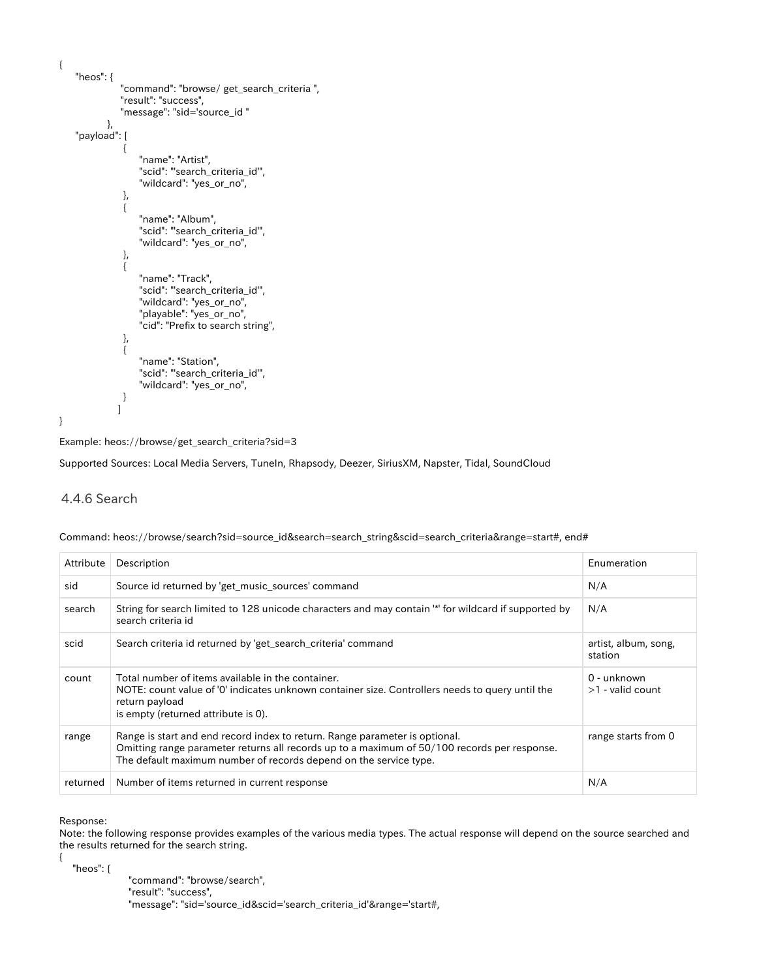```
{
      "heos": {
                     "command": "browse/ get_search_criteria ",
                     "result": "success",
                     "message": "sid='source_id "
                },
      "payload": [
\left\{ \begin{array}{ccc} 1 & 1 & 1 \\ 1 & 1 & 1 \end{array} \right\} "name": "Artist",
                           "scid": "'search_criteria_id'",
                           "wildcard": "yes_or_no",
\qquad \qquad \}\left\{ \begin{array}{ccc} 1 & 1 & 1 \\ 1 & 1 & 1 \end{array} \right\} "name": "Album",
                           "scid": "'search_criteria_id'",
                           "wildcard": "yes_or_no",
                      },
\left\{ \begin{array}{ccc} 1 & 1 & 1 \\ 1 & 1 & 1 \end{array} \right\} "name": "Track",
                           "scid": "'search_criteria_id'",
                           "wildcard": "yes_or_no",
                           "playable": "yes_or_no",
                           "cid": "Prefix to search string",
                      },
\left\{ \begin{array}{ccc} 1 & 1 & 1 \\ 1 & 1 & 1 \end{array} \right\} "name": "Station",
                           "scid": "'search_criteria_id'",
                           "wildcard": "yes_or_no",
                      }
                    ]
}
```
Example: heos://browse/get\_search\_criteria?sid=3

Supported Sources: Local Media Servers, TuneIn, Rhapsody, Deezer, SiriusXM, Napster, Tidal, SoundCloud

#### <span id="page-27-0"></span>4.4.6 Search

| Description<br>Attribute | .<br>___ | the contract of the contract of the contract of the contract of the contract of<br>. | <b>B</b> 1 |
|--------------------------|----------|--------------------------------------------------------------------------------------|------------|
|                          |          |                                                                                      | cion       |

Command: heos://browse/search?sid=source\_id&search=search\_string&scid=search\_criteria&range=start#, end#

| Allibule | Description                                                                                                                                                                                                                                      | <b>ENGINEFATION</b>               |
|----------|--------------------------------------------------------------------------------------------------------------------------------------------------------------------------------------------------------------------------------------------------|-----------------------------------|
| sid      | Source id returned by 'get music sources' command                                                                                                                                                                                                | N/A                               |
| search   | String for search limited to 128 unicode characters and may contain "*' for wildcard if supported by<br>search criteria id                                                                                                                       | N/A                               |
| scid     | Search criteria id returned by 'get search criteria' command                                                                                                                                                                                     | artist, album, song,<br>station   |
| count    | Total number of items available in the container.<br>NOTE: count value of '0' indicates unknown container size. Controllers needs to query until the<br>return payload<br>is empty (returned attribute is 0).                                    | 0 - unknown<br>$>1$ - valid count |
| range    | Range is start and end record index to return. Range parameter is optional.<br>Omitting range parameter returns all records up to a maximum of 50/100 records per response.<br>The default maximum number of records depend on the service type. | range starts from 0               |
| returned | Number of items returned in current response                                                                                                                                                                                                     | N/A                               |

Response:

{

Note: the following response provides examples of the various media types. The actual response will depend on the source searched and the results returned for the search string.

"heos": {

 "command": "browse/search", "result": "success", "message": "sid='source\_id&scid='search\_criteria\_id'&range='start#,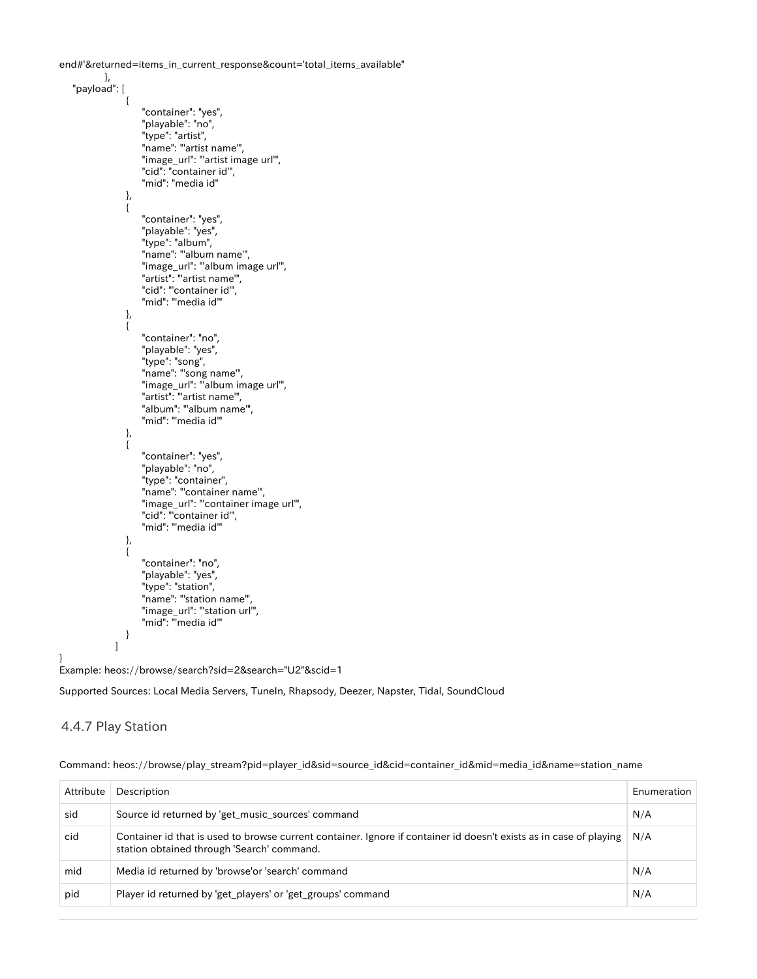end#'&returned=items\_in\_current\_response&count='total\_items\_available"

```
 },
        "payload": [
 \left\{ \begin{array}{c} 1 & 1 \\ 1 & 1 \end{array} \right\} "container": "yes",
                                          "playable": "no",
  "type": "artist",
  "name": "'artist name'",
                                         "image_url": "'artist image url'",
                                          "cid": "container id'",
                                          "mid": "media id"
                                 },
 \left\{ \begin{array}{ccc} 1 & 0 & 0 \\ 0 & 0 & 0 \\ 0 & 0 & 0 \\ 0 & 0 & 0 \\ 0 & 0 & 0 \\ 0 & 0 & 0 \\ 0 & 0 & 0 \\ 0 & 0 & 0 \\ 0 & 0 & 0 \\ 0 & 0 & 0 \\ 0 & 0 & 0 \\ 0 & 0 & 0 \\ 0 & 0 & 0 \\ 0 & 0 & 0 & 0 \\ 0 & 0 & 0 & 0 \\ 0 & 0 & 0 & 0 \\ 0 & 0 & 0 & 0 & 0 \\ 0 & 0 & 0 & 0 & 0 \\ 0 & 0 & 0 & 0 & 0 \\ 0 & 0 & 0 & 0 "container": "yes",
                                          "playable": "yes",
                                          "type": "album",
                                         "name": "album name",
                                          "image_url": "'album image url'",
                                          "artist": "'artist name'",
                                          "cid": "'container id'",
                                          "mid": "'media id'"
                                 },
 \left\{ \begin{array}{ccc} 1 & 0 & 0 \\ 0 & 0 & 0 \\ 0 & 0 & 0 \\ 0 & 0 & 0 \\ 0 & 0 & 0 \\ 0 & 0 & 0 \\ 0 & 0 & 0 \\ 0 & 0 & 0 \\ 0 & 0 & 0 \\ 0 & 0 & 0 \\ 0 & 0 & 0 \\ 0 & 0 & 0 \\ 0 & 0 & 0 \\ 0 & 0 & 0 & 0 \\ 0 & 0 & 0 & 0 \\ 0 & 0 & 0 & 0 \\ 0 & 0 & 0 & 0 & 0 \\ 0 & 0 & 0 & 0 & 0 \\ 0 & 0 & 0 & 0 & 0 \\ 0 & 0 & 0 & 0 "container": "no",
                                          "playable": "yes",
                                          "type": "song",
  "name": "'song name'",
  "image_url": "'album image url'",
                                          "artist": "'artist name'",
                                          "album": "'album name'",
                                          "mid": "'media id'"
                                 },
 \left\{ \begin{array}{ccc} 1 & 0 & 0 \\ 0 & 0 & 0 \\ 0 & 0 & 0 \\ 0 & 0 & 0 \\ 0 & 0 & 0 \\ 0 & 0 & 0 \\ 0 & 0 & 0 \\ 0 & 0 & 0 \\ 0 & 0 & 0 \\ 0 & 0 & 0 \\ 0 & 0 & 0 \\ 0 & 0 & 0 \\ 0 & 0 & 0 \\ 0 & 0 & 0 & 0 \\ 0 & 0 & 0 & 0 \\ 0 & 0 & 0 & 0 \\ 0 & 0 & 0 & 0 & 0 \\ 0 & 0 & 0 & 0 & 0 \\ 0 & 0 & 0 & 0 & 0 \\ 0 & 0 & 0 & 0 "container": "yes",
                                          "playable": "no",
                                          "type": "container",
                                         "name": "container name",
                                          "image_url": "'container image url'",
                                          "cid": "'container id'",
                                          "mid": "'media id'"
                                 },
 \left\{ \begin{array}{ccc} 1 & 0 & 0 \\ 0 & 0 & 0 \\ 0 & 0 & 0 \\ 0 & 0 & 0 \\ 0 & 0 & 0 \\ 0 & 0 & 0 \\ 0 & 0 & 0 \\ 0 & 0 & 0 \\ 0 & 0 & 0 \\ 0 & 0 & 0 \\ 0 & 0 & 0 \\ 0 & 0 & 0 \\ 0 & 0 & 0 \\ 0 & 0 & 0 & 0 \\ 0 & 0 & 0 & 0 \\ 0 & 0 & 0 & 0 \\ 0 & 0 & 0 & 0 & 0 \\ 0 & 0 & 0 & 0 & 0 \\ 0 & 0 & 0 & 0 & 0 \\ 0 & 0 & 0 & 0 "container": "no",
                                          "playable": "yes",
                                          "type": "station",
                                          "name": "'station name'",
                                          "image_url": "'station url'",
                                          "mid": "'media id'"
  }
                            ]
Example: heos://browse/search?sid=2&search="U2"&scid=1
```
Supported Sources: Local Media Servers, TuneIn, Rhapsody, Deezer, Napster, Tidal, SoundCloud

#### <span id="page-28-0"></span>4.4.7 Play Station

}

|  | Command: heos://browse/play_stream?pid=player_id&sid=source_id&cid=container_id∣=media_id&name=station_name |
|--|-------------------------------------------------------------------------------------------------------------|
|  |                                                                                                             |
|  |                                                                                                             |

| Attribute | Description                                                                                                                                                      | Enumeration |
|-----------|------------------------------------------------------------------------------------------------------------------------------------------------------------------|-------------|
| sid       | Source id returned by 'get_music_sources' command                                                                                                                | N/A         |
| cid       | Container id that is used to browse current container. Ignore if container id doesn't exists as in case of playing<br>station obtained through 'Search' command. | N/A         |
| mid       | Media id returned by 'browse'or 'search' command                                                                                                                 | N/A         |
| pid       | Player id returned by 'get_players' or 'get_groups' command                                                                                                      | N/A         |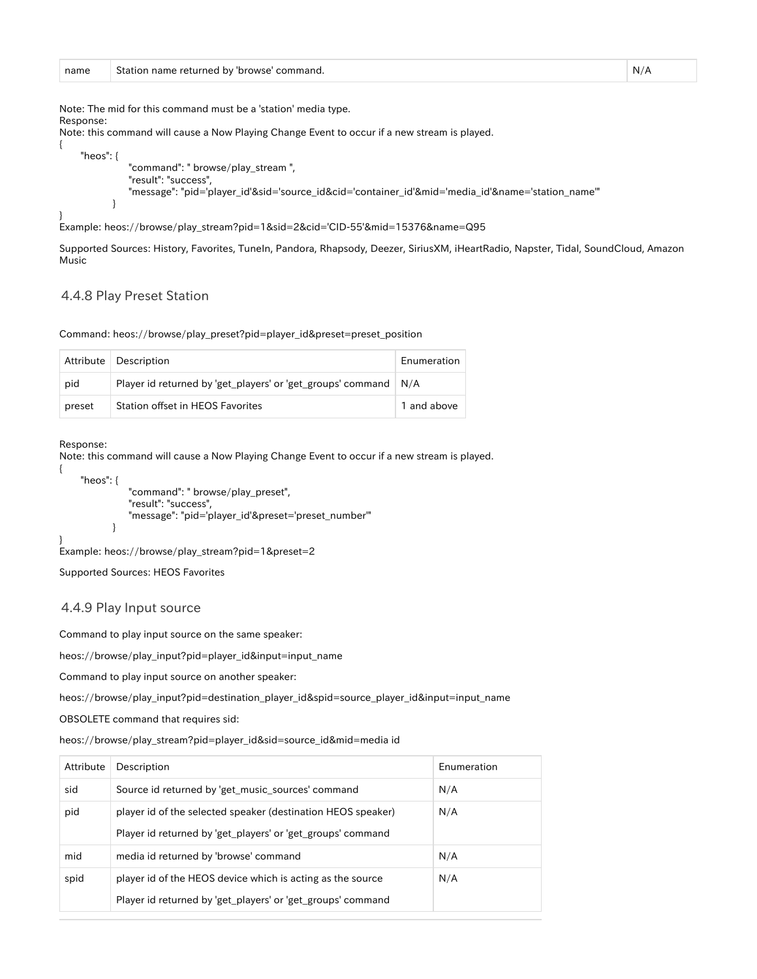Note: The mid for this command must be a 'station' media type. Response:

Note: this command will cause a Now Playing Change Event to occur if a new stream is played.

```
 "heos": {
               "command": " browse/play_stream ",
               "result": "success",
               "message": "pid='player_id'&sid='source_id&cid='container_id'&mid='media_id'&name='station_name'"
 }
```
Example: heos://browse/play\_stream?pid=1&sid=2&cid='CID-55'&mid=15376&name=Q95

Supported Sources: History, Favorites, TuneIn, Pandora, Rhapsody, Deezer, SiriusXM, iHeartRadio, Napster, Tidal, SoundCloud, Amazon Music

#### <span id="page-29-0"></span>4.4.8 Play Preset Station

Command: heos://browse/play\_preset?pid=player\_id&preset=preset\_position

|        | Attribute   Description                                           | Enumeration |
|--------|-------------------------------------------------------------------|-------------|
| pid    | Player id returned by 'get_players' or 'get_groups' command   N/A |             |
| preset | <b>Station offset in HEOS Favorites</b>                           | 1 and above |

Response:

{

}

{

}

Note: this command will cause a Now Playing Change Event to occur if a new stream is played.

```
 "heos": {
               "command": " browse/play_preset",
               "result": "success",
               "message": "pid='player_id'&preset='preset_number'"
 }
```

```
Example: heos://browse/play_stream?pid=1&preset=2
```
Supported Sources: HEOS Favorites

#### <span id="page-29-1"></span>4.4.9 Play Input source

Command to play input source on the same speaker:

heos://browse/play\_input?pid=player\_id&input=input\_name

Command to play input source on another speaker:

heos://browse/play\_input?pid=destination\_player\_id&spid=source\_player\_id&input=input\_name

OBSOLETE command that requires sid:

heos://browse/play\_stream?pid=player\_id&sid=source\_id&mid=media id

| Attribute | Description                                                                                                                 | Enumeration |
|-----------|-----------------------------------------------------------------------------------------------------------------------------|-------------|
| sid       | Source id returned by 'get_music_sources' command                                                                           | N/A         |
| pid       | player id of the selected speaker (destination HEOS speaker)<br>Player id returned by 'get_players' or 'get_groups' command | N/A         |
| mid       | media id returned by 'browse' command                                                                                       | N/A         |
| spid      | player id of the HEOS device which is acting as the source<br>Player id returned by 'get players' or 'get groups' command   | N/A         |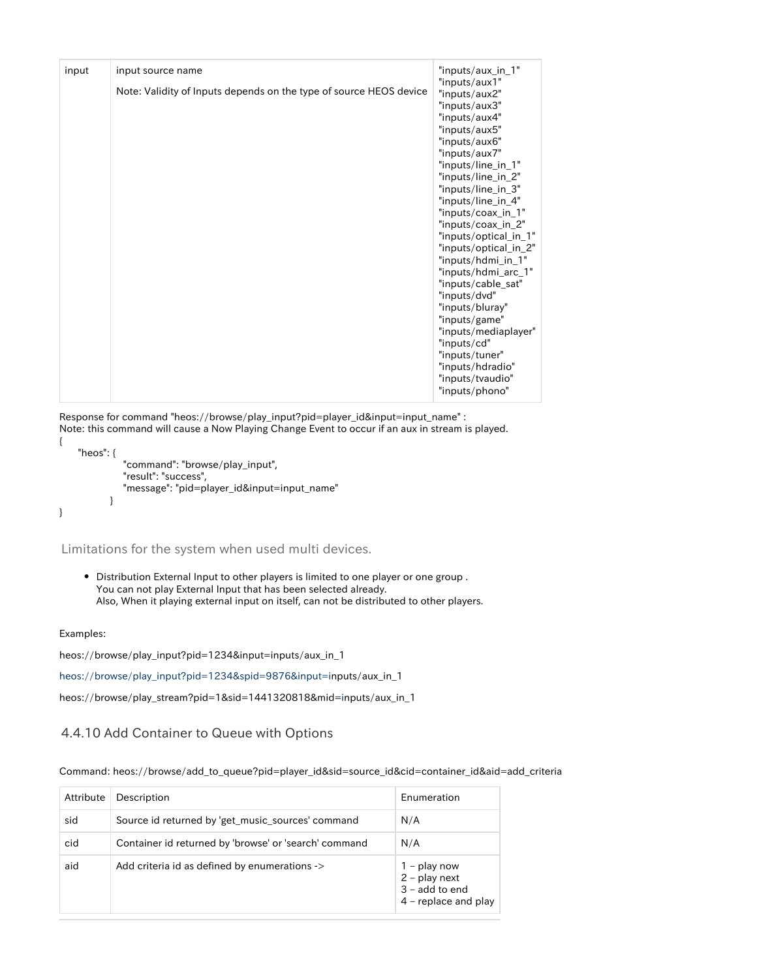| input | input source name                                                  | "inputs/aux_in_1"                                                                                                                                                                                                                                                                                                                                                                                                                                                                                                                                   |
|-------|--------------------------------------------------------------------|-----------------------------------------------------------------------------------------------------------------------------------------------------------------------------------------------------------------------------------------------------------------------------------------------------------------------------------------------------------------------------------------------------------------------------------------------------------------------------------------------------------------------------------------------------|
|       | Note: Validity of Inputs depends on the type of source HEOS device | "inputs/aux1"<br>"inputs/aux2"<br>"inputs/aux3"<br>"inputs/aux4"<br>"inputs/aux5"<br>"inputs/aux6"<br>"inputs/aux7"<br>"inputs/line_in_1"<br>"inputs/line_in_2"<br>"inputs/line_in_3"<br>"inputs/line_in_4"<br>"inputs/coax_in_1"<br>"inputs/coax_in_2"<br>"inputs/optical_in_1"<br>"inputs/optical_in_2"<br>"inputs/hdmi_in_1"<br>"inputs/hdmi_arc_1"<br>"inputs/cable_sat"<br>"inputs/dvd"<br>"inputs/bluray"<br>"inputs/game"<br>"inputs/mediaplayer"<br>"inputs/cd"<br>"inputs/tuner"<br>"inputs/hdradio"<br>"inputs/tvaudio"<br>"inputs/phono" |

Response for command "heos://browse/play\_input?pid=player\_id&input=input\_name" : Note: this command will cause a Now Playing Change Event to occur if an aux in stream is played. { "heos": {

```
 "command": "browse/play_input",
    "result": "success",
    "message": "pid=player_id&input=input_name"
 }
```
<span id="page-30-0"></span>Limitations for the system when used multi devices.

Distribution External Input to other players is limited to one player or one group . You can not play External Input that has been selected already. Also, When it playing external input on itself, can not be distributed to other players.

Examples:

}

heos://browse/play\_input?pid=1234&input=inputs/aux\_in\_1

[heos://browse/play\\_input?pid=1234&spid=9876&input=in](heos://browse/play_input?pid=1234&spid=9876&input=i)puts/aux\_in\_1

heos://browse/play\_stream?pid=1&sid=1441320818&mid[=i](heos://browse/play_input?pid=1234&spid=9876&input=i)nputs/aux\_in\_1

#### <span id="page-30-1"></span>4.4.10 Add Container to Queue with Options

Command: heos://browse/add\_to\_queue?pid=player\_id&sid=source\_id&cid=container\_id&aid=add\_criteria

| Attribute | Description                                           | Enumeration                                                                   |
|-----------|-------------------------------------------------------|-------------------------------------------------------------------------------|
| sid       | Source id returned by 'get music sources' command     | N/A                                                                           |
| cid       | Container id returned by 'browse' or 'search' command | N/A                                                                           |
| aid       | Add criteria id as defined by enumerations ->         | $1 -$ play now<br>2 - play next<br>$3 -$ add to end<br>$4$ – replace and play |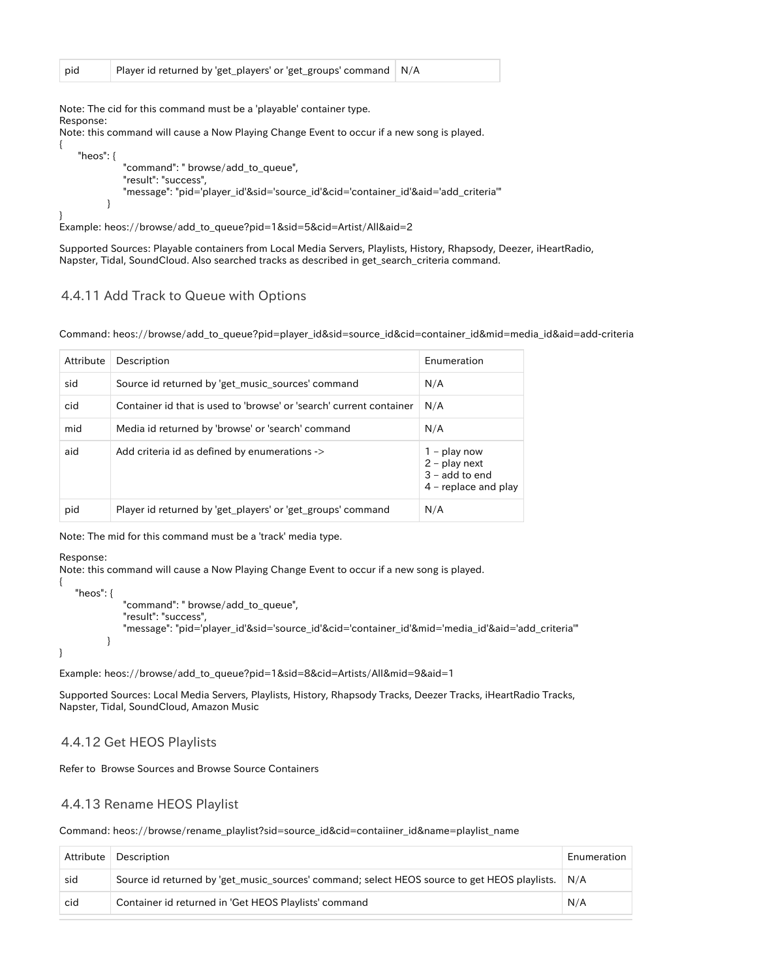Note: The cid for this command must be a 'playable' container type. Response:

Note: this command will cause a Now Playing Change Event to occur if a new song is played.

```
 "heos": {
           "command": " browse/add_to_queue",
          "result": "success",
          "message": "pid='player_id'&sid='source_id'&cid='container_id'&aid='add_criteria'"
       }
```
Example: heos://browse/add\_to\_queue?pid=1&sid=5&cid=Artist/All&aid=2

Supported Sources: Playable containers from Local Media Servers, Playlists, History, Rhapsody, Deezer, iHeartRadio, Napster, Tidal, SoundCloud. Also searched tracks as described in get\_search\_criteria command.

#### <span id="page-31-0"></span>4.4.11 Add Track to Queue with Options

Command: heos://browse/add\_to\_queue?pid=player\_id&sid=source\_id&cid=container\_id&mid=media\_id&aid=add-criteria

| Attribute | Description                                                         | Enumeration                                                                     |
|-----------|---------------------------------------------------------------------|---------------------------------------------------------------------------------|
| sid       | Source id returned by 'get_music_sources' command                   | N/A                                                                             |
| cid       | Container id that is used to 'browse' or 'search' current container | N/A                                                                             |
| mid       | Media id returned by 'browse' or 'search' command                   | N/A                                                                             |
| aid       | Add criteria id as defined by enumerations ->                       | $1 -$ play now<br>$2$ – play next<br>$3 -$ add to end<br>$4$ – replace and play |
| pid       | Player id returned by 'get_players' or 'get_groups' command         | N/A                                                                             |

Note: The mid for this command must be a 'track' media type.

#### Response:

{

}

{

}

Note: this command will cause a Now Playing Change Event to occur if a new song is played.

```
 "heos": {
           "command": " browse/add_to_queue",
           "result": "success",
           "message": "pid='player_id'&sid='source_id'&cid='container_id'&mid='media_id'&aid='add_criteria'"
       }
```
Example: heos://browse/add\_to\_queue?pid=1&sid=8&cid=Artists/All&mid=9&aid=1

Supported Sources: Local Media Servers, Playlists, History, Rhapsody Tracks, Deezer Tracks, iHeartRadio Tracks, Napster, Tidal, SoundCloud, Amazon Music

#### <span id="page-31-1"></span>4.4.12 Get HEOS Playlists

Refer to Browse Sources and Browse Source Containers

#### <span id="page-31-2"></span>4.4.13 Rename HEOS Playlist

Command: heos://browse/rename\_playlist?sid=source\_id&cid=contaiiner\_id&name=playlist\_name

|     | Attribute Description                                                                           | Enumeration |
|-----|-------------------------------------------------------------------------------------------------|-------------|
| sid | Source id returned by get music sources' command; select HEOS source to get HEOS playlists. N/A |             |
| cid | Container id returned in 'Get HEOS Playlists' command                                           | N/A         |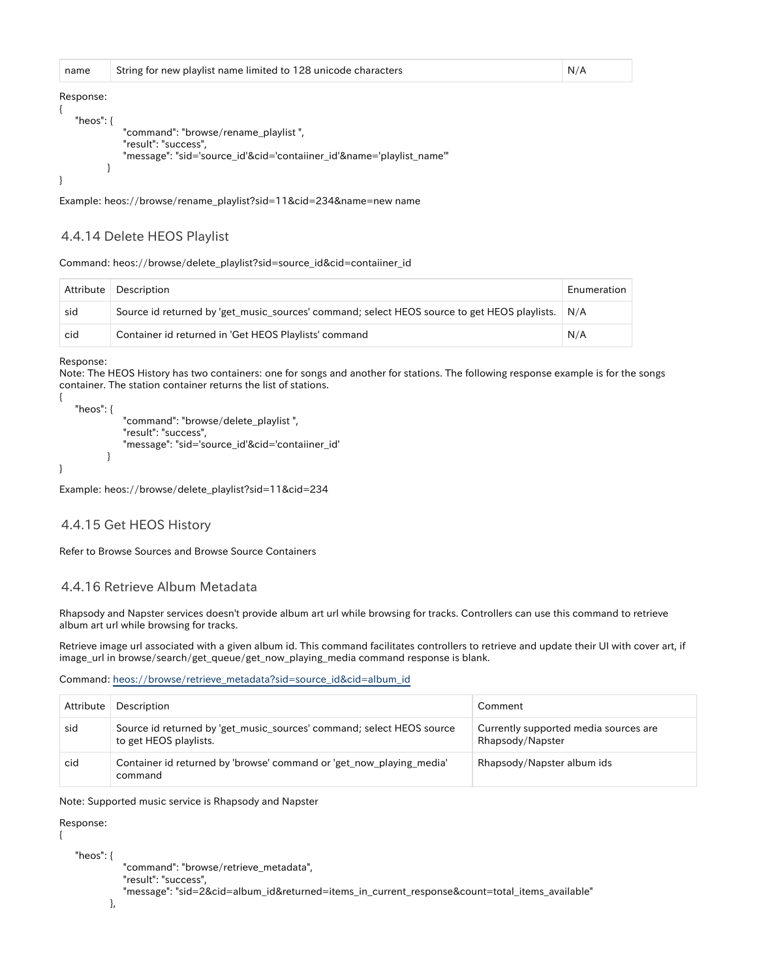| name         | String for new playlist name limited to 128 unicode characters        | N/A |
|--------------|-----------------------------------------------------------------------|-----|
| Response:    |                                                                       |     |
| "heos": $\{$ |                                                                       |     |
|              | "command": "browse/rename_playlist",                                  |     |
|              | "result": "success",                                                  |     |
|              | "message": "sid='source_id'&cid='contaiiner_id'&name='playlist_name'" |     |
|              |                                                                       |     |
|              |                                                                       |     |

Example: heos://browse/rename\_playlist?sid=11&cid=234&name=new name

#### <span id="page-32-0"></span>4.4.14 Delete HEOS Playlist

Command: heos://browse/delete\_playlist?sid=source\_id&cid=contaiiner\_id

| Attribute | Description                                                                                     | Enumeration |
|-----------|-------------------------------------------------------------------------------------------------|-------------|
| sid       | Source id returned by get music sources' command; select HEOS source to get HEOS playlists. N/A |             |
| cid       | Container id returned in 'Get HEOS Playlists' command                                           | N/A         |

Response:

{

}

Note: The HEOS History has two containers: one for songs and another for stations. The following response example is for the songs container. The station container returns the list of stations.

```
 "heos": {
            "command": "browse/delete_playlist ",
            "result": "success",
            "message": "sid='source_id'&cid='contaiiner_id'
        }
```
Example: heos://browse/delete\_playlist?sid=11&cid=234

#### <span id="page-32-1"></span>4.4.15 Get HEOS History

Refer to Browse Sources and Browse Source Containers

#### <span id="page-32-2"></span>4.4.16 Retrieve Album Metadata

Rhapsody and Napster services doesn't provide album art url while browsing for tracks. Controllers can use this command to retrieve album art url while browsing for tracks.

Retrieve image url associated with a given album id. This command facilitates controllers to retrieve and update their UI with cover art, if image\_url in browse/search/get\_queue/get\_now\_playing\_media command response is blank.

Command: [heos://browse/retrieve\\_metadata?sid=source\\_id&cid=album\\_id](heos://browse/add_to_queue?pid=player_id&sid=source_id&cid=container_id&aid=add_criteria)

| Attribute | Description                                                                                    | Comment                                                   |
|-----------|------------------------------------------------------------------------------------------------|-----------------------------------------------------------|
| sid       | Source id returned by get music sources' command; select HEOS source<br>to get HEOS playlists. | Currently supported media sources are<br>Rhapsody/Napster |
| cid       | Container id returned by 'browse' command or 'get now playing media'<br>command                | Rhapsody/Napster album ids                                |

Note: Supported music service is Rhapsody and Napster

Response:

{

"heos": {

 "command": "browse/retrieve\_metadata", "result": "success", "message": "sid=2&cid=album\_id&returned=items\_in\_current\_response&count=total\_items\_available"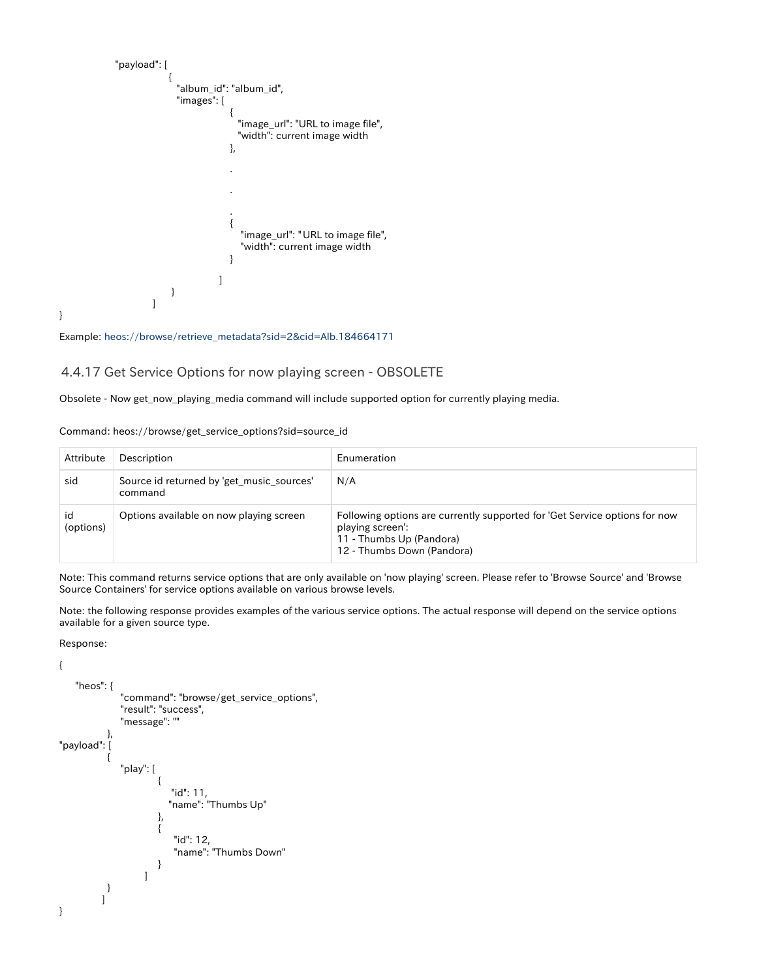```
 "payload": [
{ } "album_id": "album_id",
                "images": [
\{ "image_url": "URL to image file",
                         "width": current image width
 },
 .
 .
 .
\{"image_url": " URL to image file",
                         "width": current image width
 }
[1] The contract of the contract of the contract of the contract of the contract of the contract of the contract of
}<br>}<br>}
 ]
```
Example: [heos://browse/retrieve\\_metadata?sid=2&cid=Alb.184664171](heos://browse/retrieve_metadata?sid=2&cid=Alb.184664171)

#### <span id="page-33-0"></span>4.4.17 Get Service Options for now playing screen - OBSOLETE

Obsolete - Now get\_now\_playing\_media command will include supported option for currently playing media.

Command: heos://browse/get\_service\_options?sid=source\_id

| Attribute       | Description                                          | Enumeration                                                                                                                                              |
|-----------------|------------------------------------------------------|----------------------------------------------------------------------------------------------------------------------------------------------------------|
| sid             | Source id returned by 'get music sources'<br>command | N/A                                                                                                                                                      |
| id<br>(options) | Options available on now playing screen              | Following options are currently supported for 'Get Service options for now<br>playing screen':<br>11 - Thumbs Up (Pandora)<br>12 - Thumbs Down (Pandora) |

Note: This command returns service options that are only available on 'now playing' screen. Please refer to 'Browse Source' and 'Browse Source Containers' for service options available on various browse levels.

Note: the following response provides examples of the various service options. The actual response will depend on the service options available for a given source type.

Response:

}

```
{
        "heos": {
                           "command": "browse/get_service_options",
                           "result": "success",
                           "message": ""
                     },
"payload": [
 \left\{\begin{array}{ccc} \end{array}\right\} "play": [
 \{ "id": 11,
                                                "name": "Thumbs Up"
 \{, \}, \{, \}, \{, \}, \{, \}, \{, \}, \{, \}, \{, \}, \{, \}, \{, \}, \{, \}, \{, \}, \{, \}, \{, \}, \{, \}, \{, \}, \{, \}, \{, \}, \{, \}, \{,
 {
                                                  "id": 12,
                                                  "name": "Thumbs Down"
  }
 [alian alian alian alian alian alian alian alian alian alian alian alian alian alian alian alian alian alian alian alian alian alian alian alian alian alian alian alian alian alian alian alian alian alian alian alian ali
  }
  ]
}
```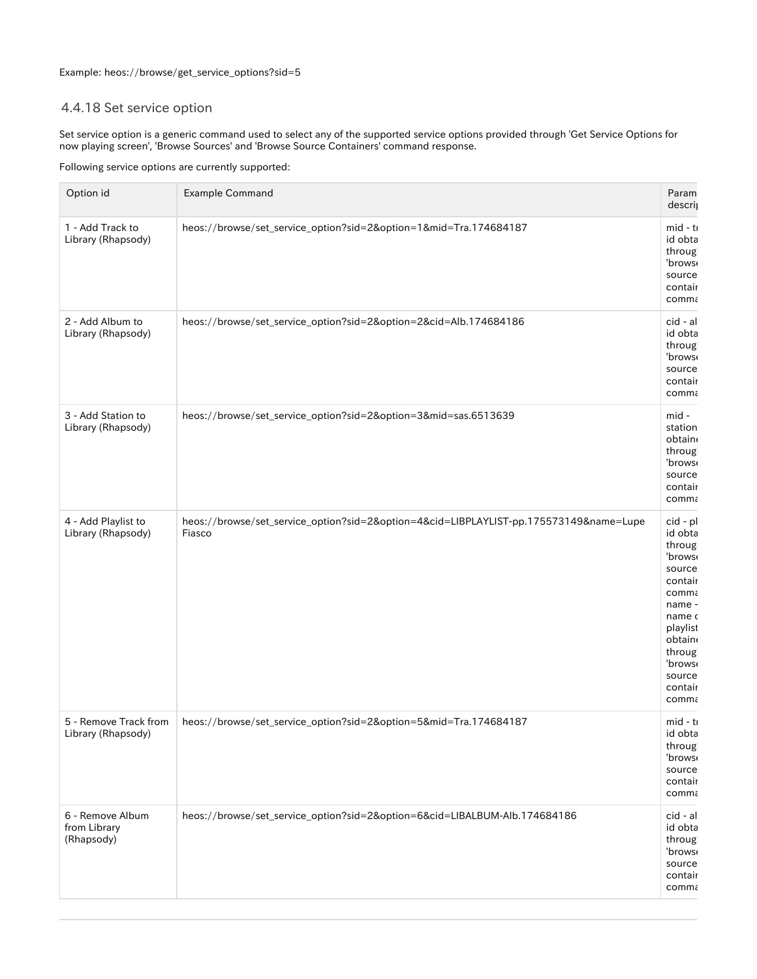### <span id="page-34-0"></span>4.4.18 Set service option

Set service option is a generic command used to select any of the supported service options provided through 'Get Service Options for now playing screen', 'Browse Sources' and 'Browse Source Containers' command response.

Following service options are currently supported:

| Option id                                      | <b>Example Command</b>                                                                           | Param<br>descri                                                                                                                                                   |
|------------------------------------------------|--------------------------------------------------------------------------------------------------|-------------------------------------------------------------------------------------------------------------------------------------------------------------------|
| 1 - Add Track to<br>Library (Rhapsody)         | heos://browse/set_service_option?sid=2&option=1∣=Tra.174684187                                   | $mid - t$<br>id obta<br>throug<br>'brows<br>source<br>contair<br>comma                                                                                            |
| 2 - Add Album to<br>Library (Rhapsody)         | heos://browse/set_service_option?sid=2&option=2&cid=Alb.174684186                                | cid - al<br>id obta<br>throug<br>'brows<br>source<br>contair<br>comma                                                                                             |
| 3 - Add Station to<br>Library (Rhapsody)       | heos://browse/set_service_option?sid=2&option=3∣=sas.6513639                                     | mid -<br>station<br>obtain<br>throug<br>'brows<br>source<br>contair<br>comma                                                                                      |
| 4 - Add Playlist to<br>Library (Rhapsody)      | heos://browse/set_service_option?sid=2&option=4&cid=LIBPLAYLIST-pp.175573149&name=Lupe<br>Fiasco | cid - pl<br>id obta<br>throug<br>'brows<br>source<br>contair<br>comma<br>name -<br>name o<br>playlist<br>obtain<br>throug<br>'brows<br>source<br>contair<br>comma |
| 5 - Remove Track from<br>Library (Rhapsody)    | heos://browse/set_service_option?sid=2&option=5∣=Tra.174684187                                   | mid - ti<br>id obta<br>throug<br>'brows<br>source<br>contair<br>comma                                                                                             |
| 6 - Remove Album<br>from Library<br>(Rhapsody) | heos://browse/set_service_option?sid=2&option=6&cid=LIBALBUM-Alb.174684186                       | cid - al<br>id obta<br>throug<br>'brows<br>source<br>contair<br>comma                                                                                             |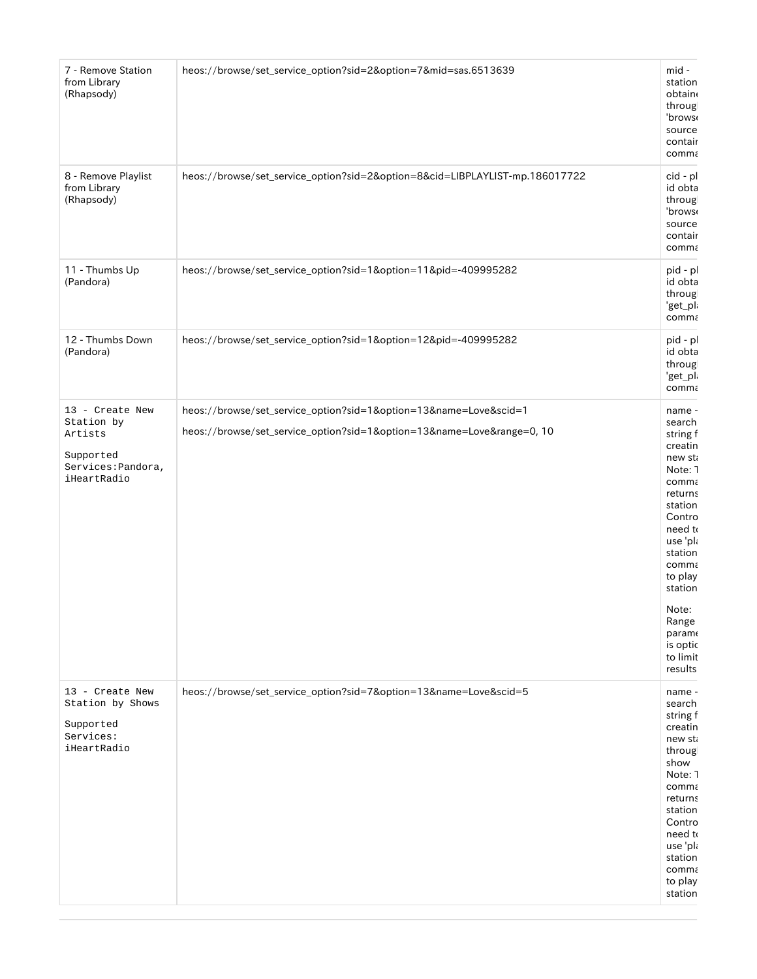| 7 - Remove Station<br>from Library<br>(Rhapsody)  | heos://browse/set_service_option?sid=2&option=7∣=sas.6513639                 | mid -<br>station<br>obtain<br>throug<br>'brows<br>source<br>contair<br>comma |
|---------------------------------------------------|------------------------------------------------------------------------------|------------------------------------------------------------------------------|
| 8 - Remove Playlist<br>from Library<br>(Rhapsody) | heos://browse/set_service_option?sid=2&option=8&cid=LIBPLAYLIST-mp.186017722 | cid - pl<br>id obta<br>throug<br>'brows<br>source<br>contair<br>comma        |
| 11 - Thumbs Up<br>(Pandora)                       | heos://browse/set_service_option?sid=1&option=11&pid=-409995282              | pid - p<br>id obta<br>throug<br>'get_pl<br>comma                             |
| 12 - Thumbs Down<br>(Pandora)                     | heos://browse/set_service_option?sid=1&option=12&pid=-409995282              | pid - p<br>id obta<br>throug<br>'get_pl<br>comma                             |
| 13 - Create New                                   | heos://browse/set_service_option?sid=1&option=13&name=Love&scid=1            | name -                                                                       |
| Station by<br>Artists                             | heos://browse/set_service_option?sid=1&option=13&name=Love⦥=0, 10            | search<br>string f                                                           |
| Supported                                         |                                                                              | creatin<br>new st                                                            |
| Services: Pandora,<br>iHeartRadio                 |                                                                              | Note: 1                                                                      |
|                                                   |                                                                              | comma<br>returns                                                             |
|                                                   |                                                                              | station                                                                      |
|                                                   |                                                                              | Contro<br>need to                                                            |
|                                                   |                                                                              | use 'pla<br>station                                                          |
|                                                   |                                                                              | comma                                                                        |
|                                                   |                                                                              | to play<br>station                                                           |
|                                                   |                                                                              | Note:                                                                        |
|                                                   |                                                                              | Range<br>param                                                               |
|                                                   |                                                                              | is optic                                                                     |
|                                                   |                                                                              | to limit<br>results                                                          |
| 13 - Create New                                   | heos://browse/set_service_option?sid=7&option=13&name=Love&scid=5            | name -                                                                       |
| Station by Shows                                  |                                                                              | search<br>string f                                                           |
| Supported<br>Services:                            |                                                                              | creatin<br>new st                                                            |
| iHeartRadio                                       |                                                                              | throug                                                                       |
|                                                   |                                                                              | show<br>Note: 1                                                              |
|                                                   |                                                                              | comma                                                                        |
|                                                   |                                                                              | returns<br>station                                                           |
|                                                   |                                                                              | Contro                                                                       |
|                                                   |                                                                              | need to<br>use 'pla                                                          |
|                                                   |                                                                              | station<br>comma                                                             |
|                                                   |                                                                              | to play                                                                      |
|                                                   |                                                                              | station                                                                      |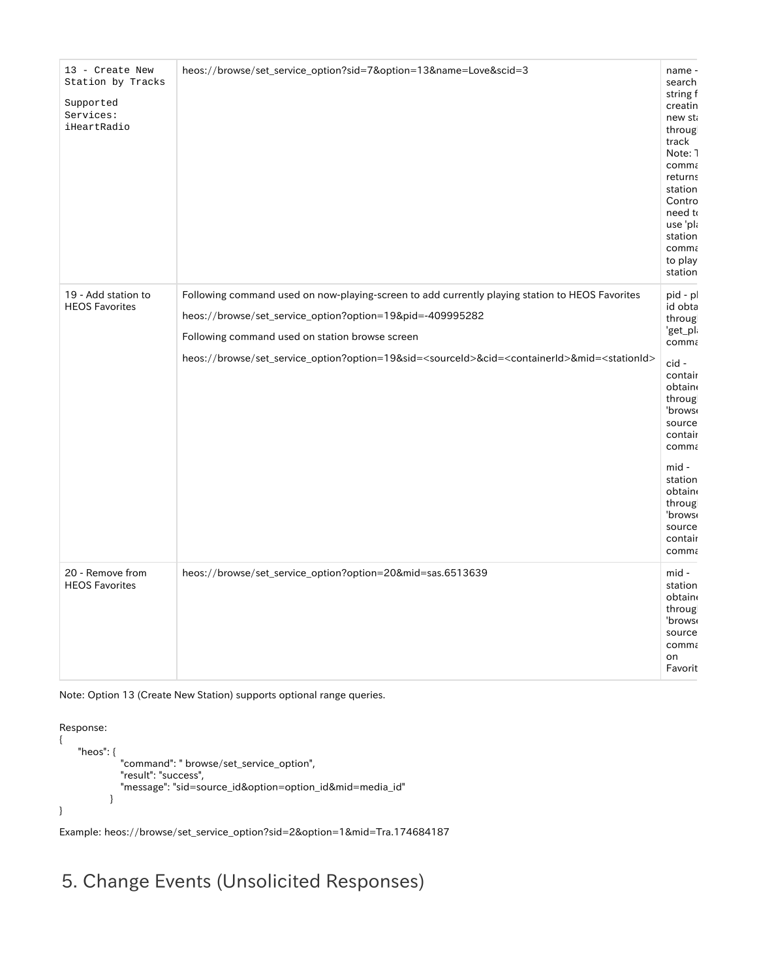| 13 - Create New<br>Station by Tracks<br>Supported<br>Services:<br>iHeartRadio | heos://browse/set_service_option?sid=7&option=13&name=Love&scid=3                                                                                                                                                                                                                                                                                     | name -<br>search<br>string f<br>creatin<br>new st<br>throug<br>track<br>Note: 1<br>comma<br>returns<br>station<br>Contro<br>need to<br>use 'pla<br>station<br>comma<br>to play<br>station                                    |
|-------------------------------------------------------------------------------|-------------------------------------------------------------------------------------------------------------------------------------------------------------------------------------------------------------------------------------------------------------------------------------------------------------------------------------------------------|------------------------------------------------------------------------------------------------------------------------------------------------------------------------------------------------------------------------------|
| 19 - Add station to<br><b>HEOS Favorites</b>                                  | Following command used on now-playing-screen to add currently playing station to HEOS Favorites<br>heos://browse/set_service_option?option=19&pid=-409995282<br>Following command used on station browse screen<br>heos://browse/set_service_option?option=19&sid= <sourceid>&amp;cid=<containerid>∣=<stationid></stationid></containerid></sourceid> | pid - p<br>id obta<br>throug<br>'get_pl<br>comma<br>cid-<br>contair<br>obtain<br>throug<br>'brows<br>source<br>contair<br>comma<br>mid -<br>station<br>obtain<br>throug<br>'brows <sub>'</sub><br>source<br>contair<br>comma |
| 20 - Remove from<br><b>HEOS Favorites</b>                                     | heos://browse/set_service_option?option=20∣=sas.6513639                                                                                                                                                                                                                                                                                               | mid -<br>station<br>obtain<br>throug<br>'brows <sub>'</sub><br>source<br>comma<br>on<br>Favorit                                                                                                                              |

Note: Option 13 (Create New Station) supports optional range queries.

Response: { "heos": { "command": " browse/set\_service\_option", "result": "success", "message": "sid=source\_id&option=option\_id&mid=media\_id" } }

Example: heos://browse/set\_service\_option?sid=2&option=1&mid=Tra.174684187

# <span id="page-36-1"></span><span id="page-36-0"></span>5. Change Events (Unsolicited Responses)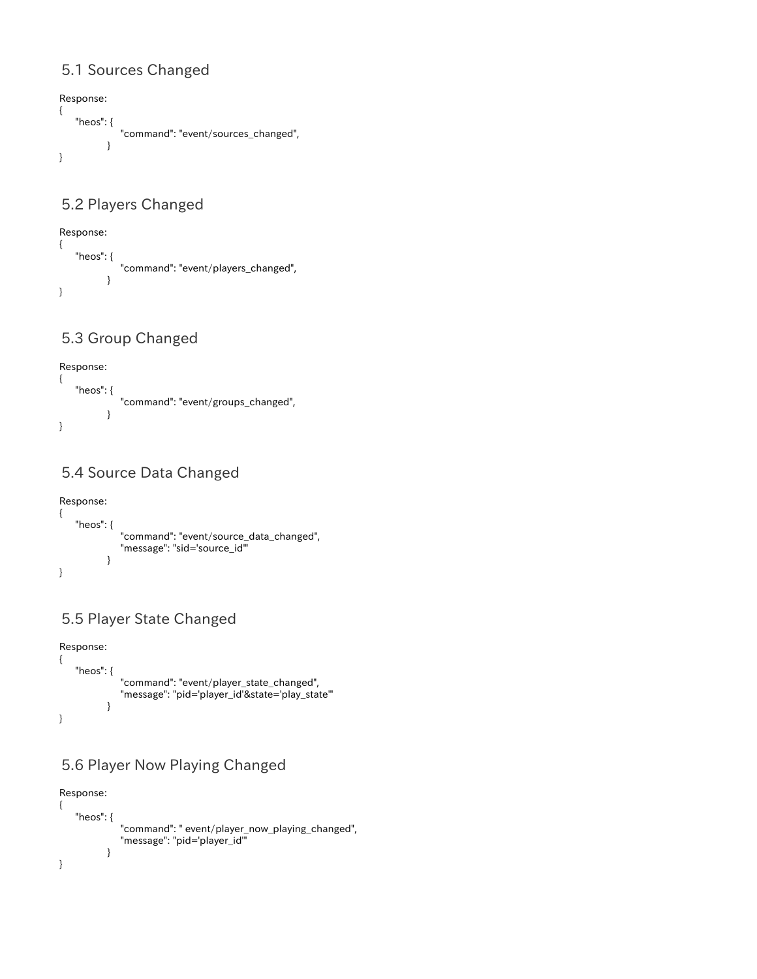### 5.1 Sources Changed

```
Response:
{
    "heos": {
              "command": "event/sources_changed",
           }
}
```
### <span id="page-37-0"></span>5.2 Players Changed

```
Response:
{
    "heos": {
               "command": "event/players_changed",
           }
}
```
### <span id="page-37-1"></span>5.3 Group Changed

```
Response:
{
    "heos": {
              "command": "event/groups_changed",
           }
}
```
## <span id="page-37-2"></span>5.4 Source Data Changed

```
Response:
{
   "heos": {
 "command": "event/source_data_changed",
 "message": "sid='source_id'"
         }
}
```
### <span id="page-37-3"></span>5.5 Player State Changed

```
Response:
{
    "heos": {
              "command": "event/player_state_changed",
               "message": "pid='player_id'&state='play_state'"
           }
}
```
### <span id="page-37-4"></span>5.6 Player Now Playing Changed

```
Response:
{
    "heos": {
 "command": " event/player_now_playing_changed",
 "message": "pid='player_id'"
         }
}
```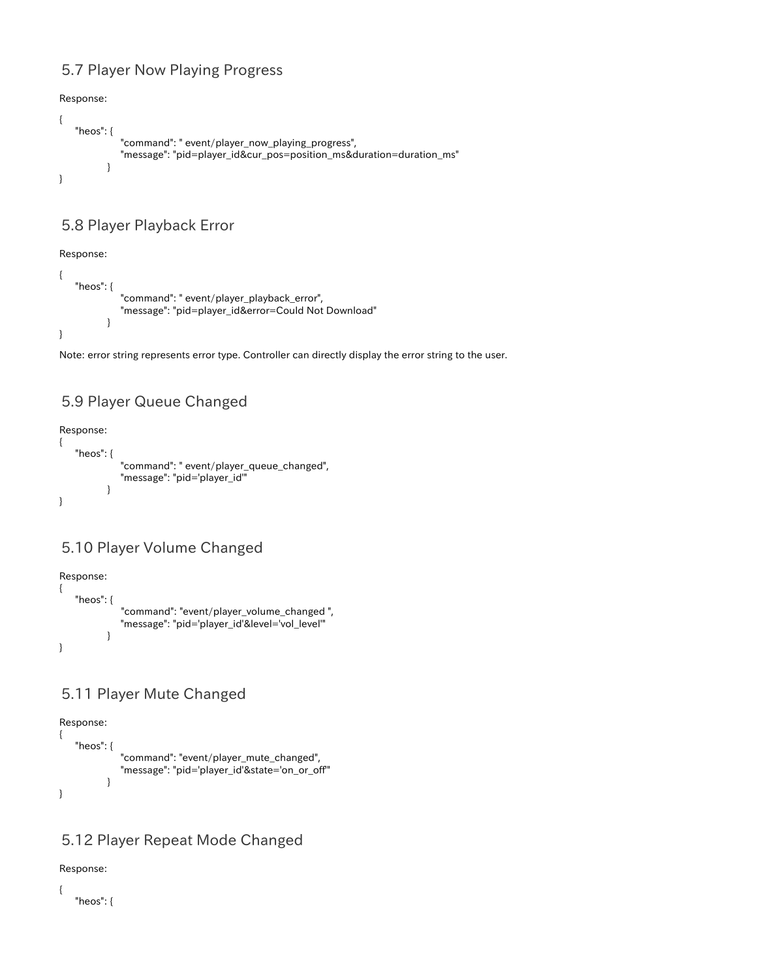### 5.7 Player Now Playing Progress

Response:

```
{
    "heos": {
              "command": " event/player_now_playing_progress",
              "message": "pid=player_id&cur_pos=position_ms&duration=duration_ms"
           }
}
```
### <span id="page-38-0"></span>5.8 Player Playback Error

Response:

```
{
    "heos": {
              "command": " event/player_playback_error",
              "message": "pid=player_id&error=Could Not Download"
           }
}
```
Note: error string represents error type. Controller can directly display the error string to the user.

### <span id="page-38-1"></span>5.9 Player Queue Changed

Response:

```
{
    "heos": {
              "command": " event/player_queue_changed",
             "message": "pid='player_id'"
 }
}
```
### <span id="page-38-2"></span>5.10 Player Volume Changed

Response:



### <span id="page-38-3"></span>5.11 Player Mute Changed

Response:

```
{
    "heos": {
              "command": "event/player_mute_changed",
               "message": "pid='player_id'&state='on_or_off'"
           }
}
```
### <span id="page-38-4"></span>5.12 Player Repeat Mode Changed

Response:

{

"heos": {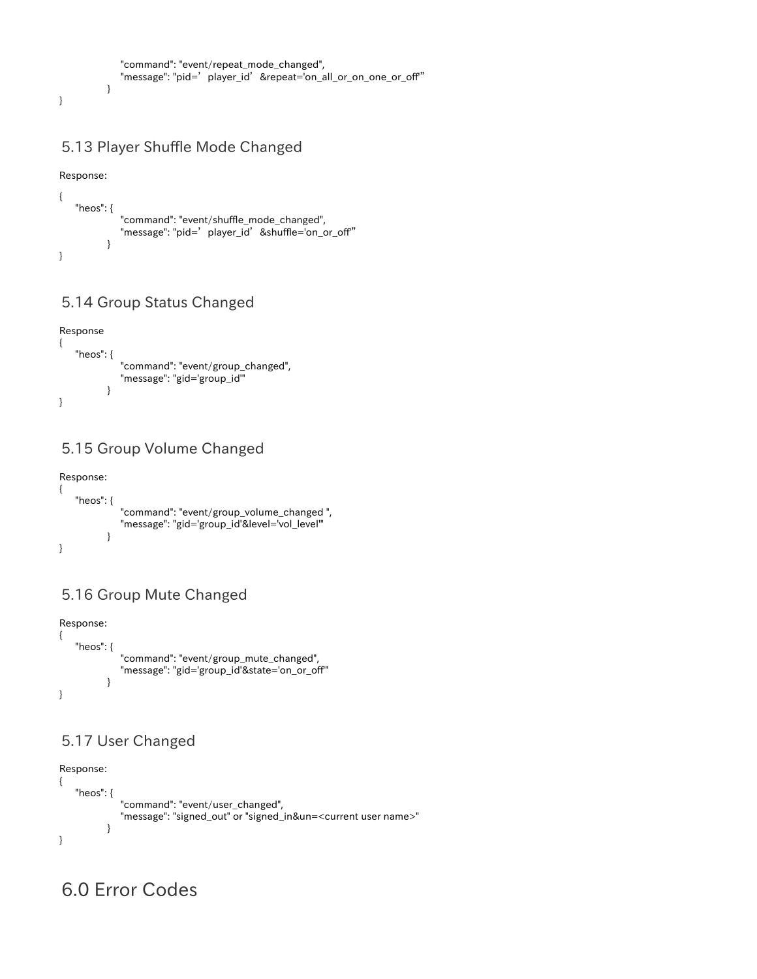```
 "command": "event/repeat_mode_changed",
    "message": "pid='player_id'&repeat='on_all_or_on_one_or_off'"
 }
```
### <span id="page-39-0"></span>5.13 Player Shuffle Mode Changed

Response:

}

```
{
    "heos": {
             "command": "event/shuffle_mode_changed",
            "message": "pid=' player_id' &shuffle='on_or_off"
 }
}
```
### 5.14 Group Status Changed

<span id="page-39-1"></span>

### 5.15 Group Volume Changed

<span id="page-39-2"></span>

## 5.16 Group Mute Changed

<span id="page-39-3"></span>

### <span id="page-39-4"></span>5.17 User Changed

```
Response:
{
    "heos": {
              "command": "event/user_changed",
              "message": "signed_out" or "signed_in&un=<current user name>"
           }
}
```
## <span id="page-39-6"></span><span id="page-39-5"></span>6.0 Error Codes